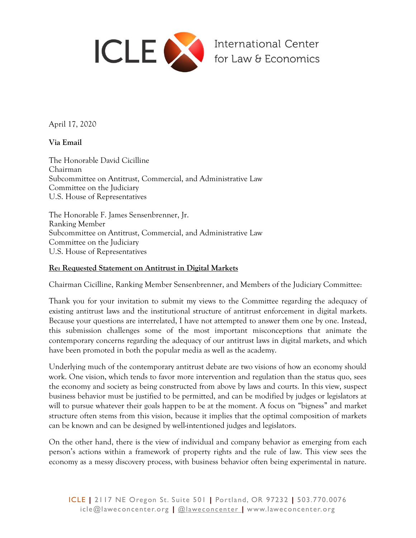

April 17, 2020

**Via Email**

The Honorable David Cicilline Chairman Subcommittee on Antitrust, Commercial, and Administrative Law Committee on the Judiciary U.S. House of Representatives

The Honorable F. James Sensenbrenner, Jr. Ranking Member Subcommittee on Antitrust, Commercial, and Administrative Law Committee on the Judiciary U.S. House of Representatives

## **Re: Requested Statement on Antitrust in Digital Markets**

Chairman Cicilline, Ranking Member Sensenbrenner, and Members of the Judiciary Committee:

Thank you for your invitation to submit my views to the Committee regarding the adequacy of existing antitrust laws and the institutional structure of antitrust enforcement in digital markets. Because your questions are interrelated, I have not attempted to answer them one by one. Instead, this submission challenges some of the most important misconceptions that animate the contemporary concerns regarding the adequacy of our antitrust laws in digital markets, and which have been promoted in both the popular media as well as the academy.

Underlying much of the contemporary antitrust debate are two visions of how an economy should work. One vision, which tends to favor more intervention and regulation than the status quo, sees the economy and society as being constructed from above by laws and courts. In this view, suspect business behavior must be justified to be permitted, and can be modified by judges or legislators at will to pursue whatever their goals happen to be at the moment. A focus on "bigness" and market structure often stems from this vision, because it implies that the optimal composition of markets can be known and can be designed by well-intentioned judges and legislators.

On the other hand, there is the view of individual and company behavior as emerging from each person's actions within a framework of property rights and the rule of law. This view sees the economy as a messy discovery process, with business behavior often being experimental in nature.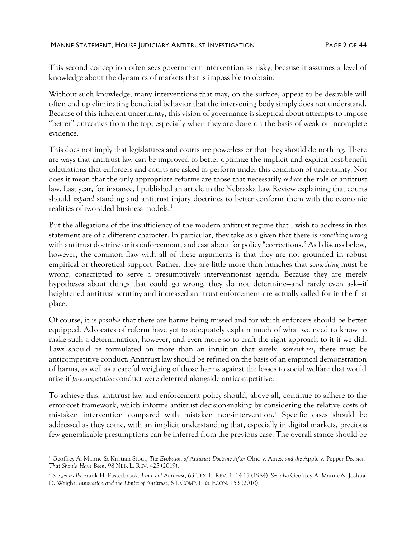This second conception often sees government intervention as risky, because it assumes a level of knowledge about the dynamics of markets that is impossible to obtain.

Without such knowledge, many interventions that may, on the surface, appear to be desirable will often end up eliminating beneficial behavior that the intervening body simply does not understand. Because of this inherent uncertainty, this vision of governance is skeptical about attempts to impose "better" outcomes from the top, especially when they are done on the basis of weak or incomplete evidence.

This does not imply that legislatures and courts are powerless or that they should do nothing. There are ways that antitrust law can be improved to better optimize the implicit and explicit cost-benefit calculations that enforcers and courts are asked to perform under this condition of uncertainty. Nor does it mean that the only appropriate reforms are those that necessarily *reduce* the role of antitrust law. Last year, for instance, I published an article in the Nebraska Law Review explaining that courts should *expand* standing and antitrust injury doctrines to better conform them with the economic realities of two-sided business models.<sup>1</sup>

But the allegations of the insufficiency of the modern antitrust regime that I wish to address in this statement are of a different character. In particular, they take as a given that there is *something wrong* with antitrust doctrine or its enforcement, and cast about for policy "corrections." As I discuss below, however, the common flaw with all of these arguments is that they are not grounded in robust empirical or theoretical support. Rather, they are little more than hunches that *something* must be wrong, conscripted to serve a presumptively interventionist agenda. Because they are merely hypotheses about things that could go wrong, they do not determine—and rarely even ask—if heightened antitrust scrutiny and increased antitrust enforcement are actually called for in the first place.

Of course, it is *possible* that there are harms being missed and for which enforcers should be better equipped. Advocates of reform have yet to adequately explain much of what we need to know to make such a determination, however, and even more so to craft the right approach to it if we did. Laws should be formulated on more than an intuition that surely, *somewhere*, there must be anticompetitive conduct. Antitrust law should be refined on the basis of an empirical demonstration of harms, as well as a careful weighing of those harms against the losses to social welfare that would arise if *procompetitive* conduct were deterred alongside anticompetitive.

<span id="page-1-0"></span>To achieve this, antitrust law and enforcement policy should, above all, continue to adhere to the error-cost framework, which informs antitrust decision-making by considering the relative costs of mistaken intervention compared with mistaken non-intervention. <sup>2</sup> Specific cases should be addressed as they come, with an implicit understanding that, especially in digital markets, precious few generalizable presumptions can be inferred from the previous case. The overall stance should be

<sup>1</sup> Geoffrey A. Manne & Kristian Stout, *The Evolution of Antitrust Doctrine After* Ohio v. Amex *and the* Apple v. Pepper *Decision That Should Have Been*, 98 NEB. L. REV. 425 (2019).

<sup>2</sup> *See generally* Frank H. Easterbrook, *Limits of Antitrust*, 63 TEX. L. REV. 1, 14-15 (1984). *See also* Geoffrey A. Manne & Joshua D. Wright, *Innovation and the Limits of Antitrust*, 6 J. COMP. L. & ECON. 153 (2010).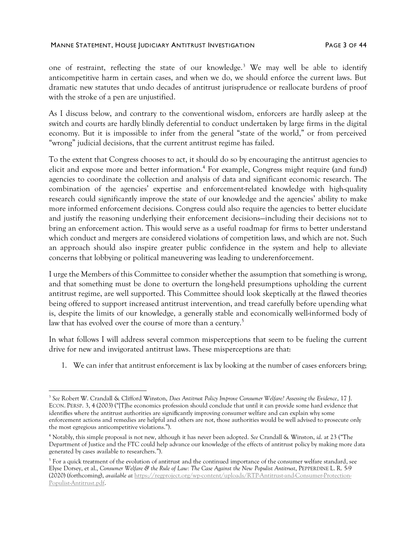<span id="page-2-1"></span>one of restraint, reflecting the state of our knowledge.<sup>3</sup> We may well be able to identify anticompetitive harm in certain cases, and when we do, we should enforce the current laws. But dramatic new statutes that undo decades of antitrust jurisprudence or reallocate burdens of proof with the stroke of a pen are unjustified.

As I discuss below, and contrary to the conventional wisdom, enforcers are hardly asleep at the switch and courts are hardly blindly deferential to conduct undertaken by large firms in the digital economy. But it is impossible to infer from the general "state of the world," or from perceived "wrong" judicial decisions, that the current antitrust regime has failed.

To the extent that Congress chooses to act, it should do so by encouraging the antitrust agencies to elicit and expose more and better information.<sup>4</sup> For example, Congress might require (and fund) agencies to coordinate the collection and analysis of data and significant economic research. The combination of the agencies' expertise and enforcement-related knowledge with high-quality research could significantly improve the state of our knowledge and the agencies' ability to make more informed enforcement decisions. Congress could also require the agencies to better elucidate and justify the reasoning underlying their enforcement decisions—including their decisions *not* to bring an enforcement action. This would serve as a useful roadmap for firms to better understand which conduct and mergers are considered violations of competition laws, and which are not. Such an approach should also inspire greater public confidence in the system and help to alleviate concerns that lobbying or political maneuvering was leading to underenforcement.

I urge the Members of this Committee to consider whether the assumption that something is wrong, and that something must be done to overturn the long-held presumptions upholding the current antitrust regime, are well supported. This Committee should look skeptically at the flawed theories being offered to support increased antitrust intervention, and tread carefully before upending what is, despite the limits of our knowledge, a generally stable and economically well-informed body of law that has evolved over the course of more than a century.<sup>5</sup>

In what follows I will address several common misperceptions that seem to be fueling the current drive for new and invigorated antitrust laws. These misperceptions are that:

<span id="page-2-0"></span>1. We can infer that antitrust enforcement is lax by looking at the number of cases enforcers bring;

<sup>3</sup> *See* Robert W. Crandall & Clifford Winston, *Does Antitrust Policy Improve Consumer Welfare? Assessing the Evidence*, 17 J. ECON. PERSP. 3, 4 (2003) ("[T]he economics profession should conclude that until it can provide some hard evidence that identifies where the antitrust authorities are significantly improving consumer welfare and can explain why some enforcement actions and remedies are helpful and others are not, those authorities would be well advised to prosecute only the most egregious anticompetitive violations.").

<sup>4</sup> Notably, this simple proposal is not new, although it has never been adopted. *See* Crandall & Winston, *id*. at 23 ("The Department of Justice and the FTC could help advance our knowledge of the effects of antitrust policy by making more data generated by cases available to researchers.").

<sup>&</sup>lt;sup>5</sup> For a quick treatment of the evolution of antitrust and the continued importance of the consumer welfare standard, see Elyse Dorsey, et al., *Consumer Welfare & the Rule of Law: The Case Against the New Populist Antitrust*, PEPPERDINE L. R. 5-9 (2020) (forthcoming), *available at* [https://regproject.org/wp-content/uploads/RTP-Antitrust-and-Consumer-Protection-](https://regproject.org/wp-content/uploads/RTP-Antitrust-and-Consumer-Protection-Populist-Antitrust.pdf)[Populist-Antitrust.pdf.](https://regproject.org/wp-content/uploads/RTP-Antitrust-and-Consumer-Protection-Populist-Antitrust.pdf)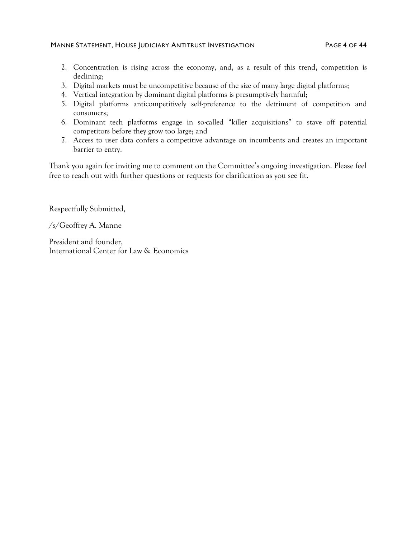#### MANNE STATEMENT, HOUSE JUDICIARY ANTITRUST INVESTIGATION PAGE 4 OF 44

- 2. Concentration is rising across the economy, and, as a result of this trend, competition is declining;
- 3. Digital markets must be uncompetitive because of the size of many large digital platforms;
- 4. Vertical integration by dominant digital platforms is presumptively harmful;
- 5. Digital platforms anticompetitively self-preference to the detriment of competition and consumers;
- 6. Dominant tech platforms engage in so-called "killer acquisitions" to stave off potential competitors before they grow too large; and
- 7. Access to user data confers a competitive advantage on incumbents and creates an important barrier to entry.

Thank you again for inviting me to comment on the Committee's ongoing investigation. Please feel free to reach out with further questions or requests for clarification as you see fit.

Respectfully Submitted,

/s/Geoffrey A. Manne

President and founder, International Center for Law & Economics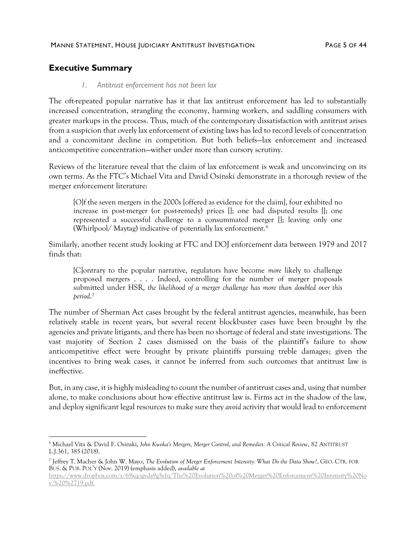## **Executive Summary**

#### *1. Antitrust enforcement has not been lax*

The oft-repeated popular narrative has it that lax antitrust enforcement has led to substantially increased concentration, strangling the economy, harming workers, and saddling consumers with greater markups in the process. Thus, much of the contemporary dissatisfaction with antitrust arises from a suspicion that overly lax enforcement of existing laws has led to record levels of concentration and a concomitant decline in competition. But both beliefs—lax enforcement and increased anticompetitive concentration—wither under more than cursory scrutiny.

Reviews of the literature reveal that the claim of lax enforcement is weak and unconvincing on its own terms. As the FTC's Michael Vita and David Osinski demonstrate in a thorough review of the merger enforcement literature:

[O]f the seven mergers in the 2000s [offered as evidence for the claim], four exhibited no increase in post-merger (or post-remedy) prices []; one had disputed results []; one represented a successful challenge to a consummated merger []; leaving only one (Whirlpool/ Maytag) indicative of potentially lax enforcement.<sup>6</sup>

Similarly, another recent study looking at FTC and DOJ enforcement data between 1979 and 2017 finds that:

[C]ontrary to the popular narrative, regulators have become *more* likely to challenge proposed mergers . . . . Indeed, controlling for the number of merger proposals submitted under HSR, *the likelihood of a merger challenge has more than doubled over this period*. 7

The number of Sherman Act cases brought by the federal antitrust agencies, meanwhile, has been relatively stable in recent years, but several recent blockbuster cases have been brought by the agencies and private litigants, and there has been no shortage of federal and state investigations. The vast majority of Section 2 cases dismissed on the basis of the plaintiff's failure to show anticompetitive effect were brought by private plaintiffs pursuing treble damages; given the incentives to bring weak cases, it cannot be inferred from such outcomes that antitrust law is ineffective.

But, in any case, it is highly misleading to count the number of antitrust cases and, using that number alone, to make conclusions about how effective antitrust law is. Firms act in the shadow of the law, and deploy significant legal resources to make sure they *avoid* activity that would lead to enforcement

<sup>6</sup> Michael Vita & David F. Osinski, *John Kwoka's Mergers, Merger Control, and Remedies: A Critical Review*, 82 ANTITRUST L.J.361, 385 (2018).

<sup>7</sup> Jeffrey T. Macher & John W. Mayo, *The Evolution of Merger Enforcement Intensity: What Do the Data Show?*, GEO. CTR. FOR BUS. & PUB. POL'Y (Nov. 2019) (emphasis added), *available at*

[https://www.dropbox.com/s/69xqogvda9g5ehj/The%20Evolution%20of%20Merger%20Enforcement%20Intensity%20No](https://www.dropbox.com/s/69xqogvda9g5ehj/The%20Evolution%20of%20Merger%20Enforcement%20Intensity%20Nov.%20%2719.pdf) [v.%20%2719.pdf.](https://www.dropbox.com/s/69xqogvda9g5ehj/The%20Evolution%20of%20Merger%20Enforcement%20Intensity%20Nov.%20%2719.pdf)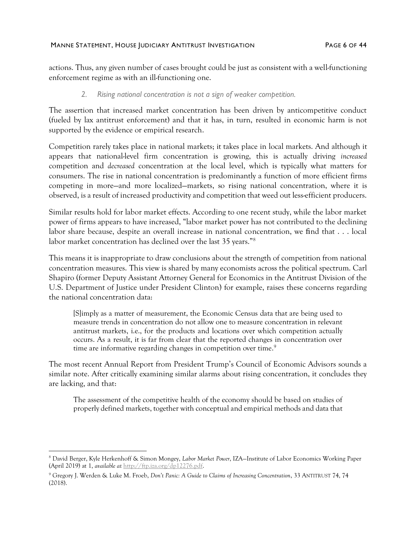#### MANNE STATEMENT, HOUSE JUDICIARY ANTITRUST INVESTIGATION FAGE 6 OF 44

actions. Thus, any given number of cases brought could be just as consistent with a well-functioning enforcement regime as with an ill-functioning one.

*2. Rising national concentration is not a sign of weaker competition.* 

The assertion that increased market concentration has been driven by anticompetitive conduct (fueled by lax antitrust enforcement) and that it has, in turn, resulted in economic harm is not supported by the evidence or empirical research.

Competition rarely takes place in national markets; it takes place in local markets. And although it appears that national-level firm concentration is growing, this is actually driving *increased* competition and *decreased* concentration at the local level, which is typically what matters for consumers. The rise in national concentration is predominantly a function of more efficient firms competing in more—and more localized—markets, so rising national concentration, where it is observed, is a result of increased productivity and competition that weed out less-efficient producers.

Similar results hold for labor market effects. According to one recent study, while the labor market power of firms appears to have increased, "labor market power has not contributed to the declining labor share because, despite an overall increase in national concentration, we find that . . . local labor market concentration has declined over the last 35 years."<sup>8</sup>

This means it is inappropriate to draw conclusions about the strength of competition from national concentration measures. This view is shared by many economists across the political spectrum. Carl Shapiro (former Deputy Assistant Attorney General for Economics in the Antitrust Division of the U.S. Department of Justice under President Clinton) for example, raises these concerns regarding the national concentration data:

[S]imply as a matter of measurement, the Economic Census data that are being used to measure trends in concentration do not allow one to measure concentration in relevant antitrust markets, i.e., for the products and locations over which competition actually occurs. As a result, it is far from clear that the reported changes in concentration over time are informative regarding changes in competition over time. 9

The most recent Annual Report from President Trump's Council of Economic Advisors sounds a similar note. After critically examining similar alarms about rising concentration, it concludes they are lacking, and that:

The assessment of the competitive health of the economy should be based on studies of properly defined markets, together with conceptual and empirical methods and data that

<sup>8</sup> David Berger, Kyle Herkenhoff & Simon Mongey, *Labor Market Power*, IZA—Institute of Labor Economics Working Paper (April 2019) at 1, *available at* [http://ftp.iza.org/dp12276.pdf.](http://ftp.iza.org/dp12276.pdf)

<sup>9</sup> Gregory J. Werden & Luke M. Froeb, *Don't Panic: A Guide to Claims of Increasing Concentration*, 33 ANTITRUST 74, 74 (2018).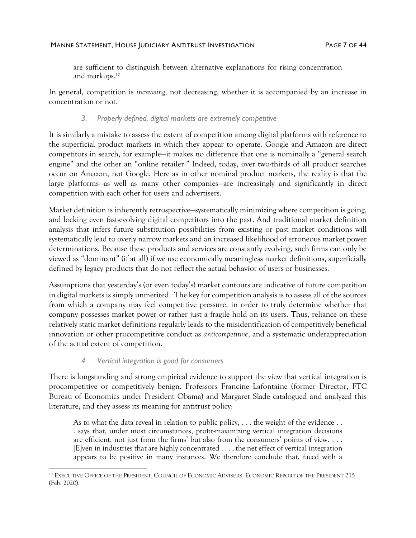are sufficient to distinguish between alternative explanations for rising concentration and markups.<sup>10</sup>

In general, competition is *increasing*, not decreasing, whether it is accompanied by an increase in concentration or not.

### *3. Properly defined, digital markets are extremely competitive*

It is similarly a mistake to assess the extent of competition among digital platforms with reference to the superficial product markets in which they appear to operate. Google and Amazon are direct competitors in search, for example—it makes no difference that one is nominally a "general search engine" and the other an "online retailer." Indeed, today, over two-thirds of all product searches occur on Amazon, not Google. Here as in other nominal product markets, the reality is that the large platforms—as well as many other companies—are increasingly and significantly in direct competition with each other for users and advertisers.

Market definition is inherently retrospective—systematically minimizing where competition is going, and locking even fast-evolving digital competitors into the past. And traditional market definition analysis that infers future substitution possibilities from existing or past market conditions will systematically lead to overly narrow markets and an increased likelihood of erroneous market power determinations. Because these products and services are constantly evolving, such firms can only be viewed as "dominant" (if at all) if we use economically meaningless market definitions, superficially defined by legacy products that do not reflect the actual behavior of users or businesses.

Assumptions that yesterday's (or even today's) market contours are indicative of future competition in digital markets is simply unmerited. The key for competition analysis is to assess all of the sources from which a company may feel competitive pressure, in order to truly determine whether that company possesses market power or rather just a fragile hold on its users. Thus, reliance on these relatively static market definitions regularly leads to the misidentification of competitively beneficial innovation or other procompetitive conduct as *anticompetitive*, and a systematic underappreciation of the actual extent of competition.

### *4. Vertical integration is good for consumers*

There is longstanding and strong empirical evidence to support the view that vertical integration is procompetitive or competitively benign. Professors Francine Lafontaine (former Director, FTC Bureau of Economics under President Obama) and Margaret Slade catalogued and analyzed this literature, and they assess its meaning for antitrust policy:

As to what the data reveal in relation to public policy, . . . the weight of the evidence . . . says that, under most circumstances, profit-maximizing vertical integration decisions are efficient, not just from the firms' but also from the consumers' points of view. . . . [E]ven in industries that are highly concentrated . . . , the net effect of vertical integration appears to be positive in many instances. We therefore conclude that, faced with a

<sup>&</sup>lt;sup>10</sup> EXECUTIVE OFFICE OF THE PRESIDENT, COUNCIL OF ECONOMIC ADVISERS, ECONOMIC REPORT OF THE PRESIDENT 215 (Feb. 2020).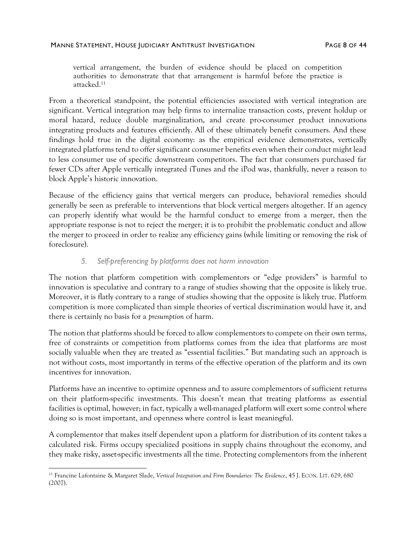vertical arrangement, the burden of evidence should be placed on competition authorities to demonstrate that that arrangement is harmful before the practice is attacked. 11

From a theoretical standpoint, the potential efficiencies associated with vertical integration are significant. Vertical integration may help firms to internalize transaction costs, prevent holdup or moral hazard, reduce double marginalization, and create pro-consumer product innovations integrating products and features efficiently. All of these ultimately benefit consumers. And these findings hold true in the digital economy: as the empirical evidence demonstrates, vertically integrated platforms tend to offer significant consumer benefits even when their conduct might lead to less consumer use of specific downstream competitors. The fact that consumers purchased far fewer CDs after Apple vertically integrated iTunes and the iPod was, thankfully, never a reason to block Apple's historic innovation.

Because of the efficiency gains that vertical mergers can produce, behavioral remedies should generally be seen as preferable to interventions that block vertical mergers altogether. If an agency can properly identify what would be the harmful conduct to emerge from a merger, then the appropriate response is not to reject the merger; it is to prohibit the problematic conduct and allow the merger to proceed in order to realize any efficiency gains (while limiting or removing the risk of foreclosure).

### *5. Self-preferencing by platforms does not harm innovation*

The notion that platform competition with complementors or "edge providers" is harmful to innovation is speculative and contrary to a range of studies showing that the opposite is likely true. Moreover, it is flatly contrary to a range of studies showing that the opposite is likely true. Platform competition is more complicated than simple theories of vertical discrimination would have it, and there is certainly no basis for a *presumption* of harm.

The notion that platforms should be forced to allow complementors to compete on their own terms, free of constraints or competition from platforms comes from the idea that platforms are most socially valuable when they are treated as "essential facilities." But mandating such an approach is not without costs, most importantly in terms of the effective operation of the platform and its own incentives for innovation.

Platforms have an incentive to optimize openness and to assure complementors of sufficient returns on their platform-specific investments. This doesn't mean that treating platforms as essential facilities is optimal, however; in fact, typically a well-managed platform will exert some control where doing so is most important, and openness where control is least meaningful.

A complementor that makes itself dependent upon a platform for distribution of its content takes a calculated risk. Firms occupy specialized positions in supply chains throughout the economy, and they make risky, asset-specific investments all the time. Protecting complementors from the inherent

<sup>11</sup> Francine Lafontaine & Margaret Slade, *Vertical Integration and Firm Boundaries: The Evidence*, 45 J. ECON. LIT. 629, 680 (2007).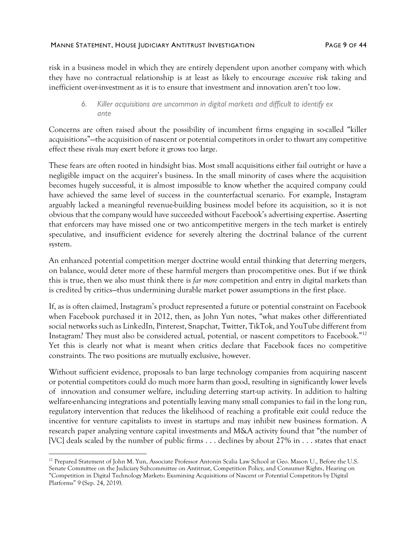#### MANNE STATEMENT, HOUSE JUDICIARY ANTITRUST INVESTIGATION FAGE 9 OF 44

risk in a business model in which they are entirely dependent upon another company with which they have no contractual relationship is at least as likely to encourage *excessive* risk taking and inefficient over-investment as it is to ensure that investment and innovation aren't too low.

### *6. Killer acquisitions are uncommon in digital markets and difficult to identify ex ante*

Concerns are often raised about the possibility of incumbent firms engaging in so-called "killer acquisitions"—the acquisition of nascent or potential competitors in order to thwart any competitive effect these rivals may exert before it grows too large.

These fears are often rooted in hindsight bias. Most small acquisitions either fail outright or have a negligible impact on the acquirer's business. In the small minority of cases where the acquisition becomes hugely successful, it is almost impossible to know whether the acquired company could have achieved the same level of success in the counterfactual scenario. For example, Instagram arguably lacked a meaningful revenue-building business model before its acquisition, so it is not obvious that the company would have succeeded without Facebook's advertising expertise. Asserting that enforcers may have missed one or two anticompetitive mergers in the tech market is entirely speculative, and insufficient evidence for severely altering the doctrinal balance of the current system.

An enhanced potential competition merger doctrine would entail thinking that deterring mergers, on balance, would deter more of these harmful mergers than procompetitive ones. But if we think this is true, then we also must think there is *far more* competition and entry in digital markets than is credited by critics—thus undermining durable market power assumptions in the first place.

If, as is often claimed, Instagram's product represented a future or potential constraint on Facebook when Facebook purchased it in 2012, then, as John Yun notes, "what makes other differentiated social networks such as LinkedIn, Pinterest, Snapchat, Twitter, TikTok, and YouTube different from Instagram? They must also be considered actual, potential, or nascent competitors to Facebook."<sup>12</sup> Yet this is clearly not what is meant when critics declare that Facebook faces no competitive constraints. The two positions are mutually exclusive, however.

Without sufficient evidence, proposals to ban large technology companies from acquiring nascent or potential competitors could do much more harm than good, resulting in significantly lower levels of innovation and consumer welfare, including deterring start-up activity. In addition to halting welfare-enhancing integrations and potentially leaving many small companies to fail in the long run, regulatory intervention that reduces the likelihood of reaching a profitable exit could reduce the incentive for venture capitalists to invest in startups and may inhibit new business formation. A research paper analyzing venture capital investments and M&A activity found that "the number of [VC] deals scaled by the number of public firms . . . declines by about 27% in . . . states that enact

<sup>&</sup>lt;sup>12</sup> Prepared Statement of John M. Yun, Associate Professor Antonin Scalia Law School at Geo. Mason U., Before the U.S. Senate Committee on the Judiciary Subcommittee on Antitrust, Competition Policy, and Consumer Rights, Hearing on "Competition in Digital Technology Markets: Examining Acquisitions of Nascent or Potential Competitors by Digital Platforms" 9 (Sep. 24, 2019).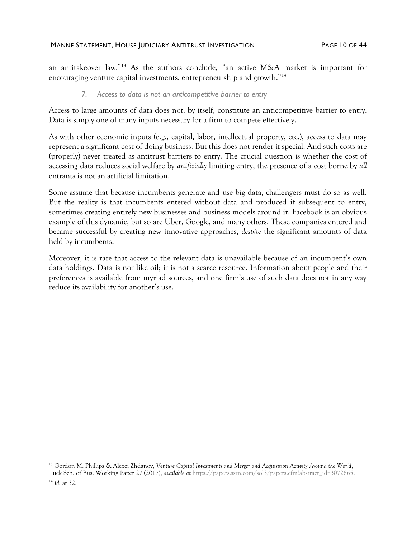an antitakeover law."<sup>13</sup> As the authors conclude, "an active M&A market is important for encouraging venture capital investments, entrepreneurship and growth."<sup>14</sup>

### *7. Access to data is not an anticompetitive barrier to entry*

Access to large amounts of data does not, by itself, constitute an anticompetitive barrier to entry. Data is simply one of many inputs necessary for a firm to compete effectively.

As with other economic inputs (e.g., capital, labor, intellectual property, etc.), access to data may represent a significant cost of doing business. But this does not render it special. And such costs are (properly) never treated as antitrust barriers to entry. The crucial question is whether the cost of accessing data reduces social welfare by *artificially* limiting entry; the presence of a cost borne by *all* entrants is not an artificial limitation.

Some assume that because incumbents generate and use big data, challengers must do so as well. But the reality is that incumbents entered without data and produced it subsequent to entry, sometimes creating entirely new businesses and business models around it. Facebook is an obvious example of this dynamic, but so are Uber, Google, and many others. These companies entered and became successful by creating new innovative approaches, *despite* the significant amounts of data held by incumbents.

Moreover, it is rare that access to the relevant data is unavailable because of an incumbent's own data holdings. Data is not like oil; it is not a scarce resource. Information about people and their preferences is available from myriad sources, and one firm's use of such data does not in any way reduce its availability for another's use.

<sup>13</sup> Gordon M. Phillips & Alexei Zhdanov, *Venture Capital Investments and Merger and Acquisition Activity Around the World*, Tuck Sch. of Bus. Working Paper 27 (2017), *available at* [https://papers.ssrn.com/sol3/papers.cfm?abstract\\_id=3072665.](https://papers.ssrn.com/sol3/papers.cfm?abstract_id=3072665) <sup>14</sup> *Id.* at 32.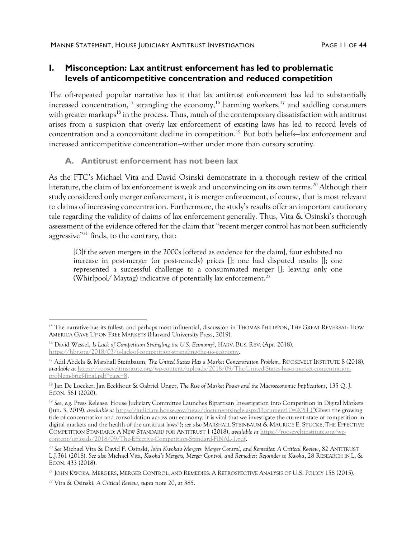## **I. Misconception: Lax antitrust enforcement has led to problematic levels of anticompetitive concentration and reduced competition**

The oft-repeated popular narrative has it that lax antitrust enforcement has led to substantially increased concentration,<sup>15</sup> strangling the economy,<sup>16</sup> harming workers,<sup>17</sup> and saddling consumers with greater markups<sup>18</sup> in the process. Thus, much of the contemporary dissatisfaction with antitrust arises from a suspicion that overly lax enforcement of existing laws has led to record levels of concentration and a concomitant decline in competition.<sup>19</sup> But both beliefs—lax enforcement and increased anticompetitive concentration—wither under more than cursory scrutiny.

### <span id="page-10-1"></span>**A. Antitrust enforcement has not been lax**

As the FTC's Michael Vita and David Osinski demonstrate in a thorough review of the critical literature, the claim of lax enforcement is weak and unconvincing on its own terms.<sup>20</sup> Although their study considered only merger enforcement, it is merger enforcement, of course, that is most relevant to claims of increasing concentration. Furthermore, the study's results offer an important cautionary tale regarding the validity of claims of lax enforcement generally. Thus, Vita & Osinski's thorough assessment of the evidence offered for the claim that "recent merger control has not been sufficiently aggressive"<sup>21</sup> finds, to the contrary, that:

<span id="page-10-0"></span>[O]f the seven mergers in the 2000s [offered as evidence for the claim], four exhibited no increase in post-merger (or post-remedy) prices []; one had disputed results []; one represented a successful challenge to a consummated merger []; leaving only one (Whirlpool/Maytag) indicative of potentially lax enforcement.<sup>22</sup>

<sup>&</sup>lt;sup>15</sup> The narrative has its fullest, and perhaps most influential, discussion in THOMAS PHILIPPON, THE GREAT REVERSAL: HOW AMERICA GAVE UP ON FREE MARKETS (Harvard University Press, 2019).

<sup>16</sup> David Wessel, *Is Lack of Competition Strangling the U.S. Economy?*, HARV. BUS. REV. (Apr. 2018), [https://hbr.org/2018/03/is-lack-of-competition-strangling-the-u-s-economy.](https://hbr.org/2018/03/is-lack-of-competition-strangling-the-u-s-economy)

<sup>17</sup> Adil Abdela & Marshall Steinbaum, *The United States Has a Market Concentration Problem*, ROOSEVELT INSTITUTE 8 (2018), *available at* [https://rooseveltinstitute.org/wp-content/uploads/2018/09/The-United-States-has-a-market-concentration](https://rooseveltinstitute.org/wp-content/uploads/2018/09/The-United-States-has-a-market-concentration-problem-brief-final.pdf#page=8)[problem-brief-final.pdf#page=8.](https://rooseveltinstitute.org/wp-content/uploads/2018/09/The-United-States-has-a-market-concentration-problem-brief-final.pdf#page=8) 

<sup>18</sup> Jan De Loecker, Jan Eeckhout & Gabriel Unger, *The Rise of Market Power and the Macroeconomic Implications*, 135 Q. J. ECON. 561 (2020).

<sup>&</sup>lt;sup>19</sup> See, e.g. Press Release: House Judiciary Committee Launches Bipartisan Investigation into Competition in Digital Markets (Jun. 3, 2019), *available at* <https://judiciary.house.gov/news/documentsingle.aspx?DocumentID=2051> ("Given the growing tide of concentration and consolidation across our economy, it is vital that we investigate the current state of competition in digital markets and the health of the antitrust laws"); *see also* MARSHALL STEINBAUM & MAURICE E. STUCKE, THE EFFECTIVE COMPETITION STANDARD: A NEW STANDARD FOR ANTITRUST 1 (2018), *available at* [https://rooseveltinstitute.org/wp](https://rooseveltinstitute.org/wp-content/uploads/2018/09/The-Effective-Competition-Standard-FINAL-1.pdf)[content/uploads/2018/09/The-Effective-Competition-Standard-FINAL-1.pdf.](https://rooseveltinstitute.org/wp-content/uploads/2018/09/The-Effective-Competition-Standard-FINAL-1.pdf)

<sup>20</sup> *See* Michael Vita & David F. Osinski, *John Kwoka's Mergers, Merger Control, and Remedies: A Critical Review*, 82 ANTITRUST L.J.361 (2018). *See also* Michael Vita, *Kwoka's Mergers, Merger Control, and Remedies: Rejoinder to Kwoka*, 28 RESEARCH IN L. & ECON. 433 (2018).

<sup>21</sup> JOHN KWOKA, MERGERS, MERGER CONTROL, AND REMEDIES: A RETROSPECTIVE ANALYSIS OF U.S. POLICY 158 (2015).

<sup>22</sup> Vita & Osinski, *A Critical Review, supra* not[e 20,](#page-10-0) at 385.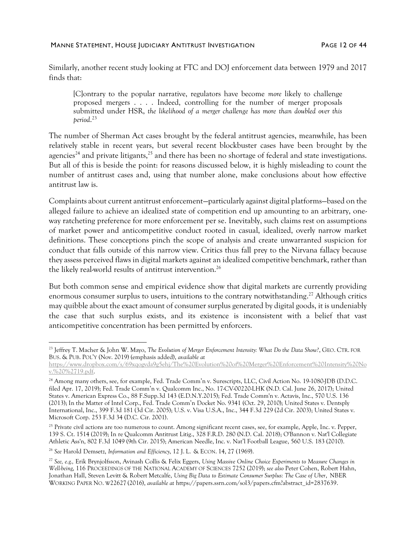Similarly, another recent study looking at FTC and DOJ enforcement data between 1979 and 2017 finds that:

[C]ontrary to the popular narrative, regulators have become *more* likely to challenge proposed mergers . . . . Indeed, controlling for the number of merger proposals submitted under HSR, *the likelihood of a merger challenge has more than doubled over this period*. 23

The number of Sherman Act cases brought by the federal antitrust agencies, meanwhile, has been relatively stable in recent years, but several recent blockbuster cases have been brought by the agencies<sup>24</sup> and private litigants,<sup>25</sup> and there has been no shortage of federal and state investigations. But all of this is beside the point: for reasons discussed below, it is highly misleading to count the number of antitrust cases and, using that number alone, make conclusions about how effective antitrust law is.

Complaints about current antitrust enforcement—particularly against digital platforms—based on the alleged failure to achieve an idealized state of competition end up amounting to an arbitrary, oneway ratcheting preference for more enforcement per se. Inevitably, such claims rest on assumptions of market power and anticompetitive conduct rooted in casual, idealized, overly narrow market definitions. These conceptions pinch the scope of analysis and create unwarranted suspicion for conduct that falls outside of this narrow view. Critics thus fall prey to the Nirvana fallacy because they assess perceived flaws in digital markets against an idealized competitive benchmark, rather than the likely real-world results of antitrust intervention.<sup>26</sup>

But both common sense and empirical evidence show that digital markets are currently providing enormous consumer surplus to users, intuitions to the contrary notwithstanding.<sup>27</sup> Although critics may quibble about the exact amount of consumer surplus generated by digital goods, it is undeniably the case that such surplus exists, and its existence is inconsistent with a belief that vast anticompetitive concentration has been permitted by enforcers.

<sup>26</sup> *See* Harold Demsetz, *Information and Efficiency*, 12 J. L. & ECON. 14, 27 (1969).

<sup>23</sup> Jeffrey T. Macher & John W. Mayo, *The Evolution of Merger Enforcement Intensity: What Do the Data Show?*, GEO. CTR. FOR BUS. & PUB. POL'Y (Nov. 2019) (emphasis added), *available at*

[https://www.dropbox.com/s/69xqogvda9g5ehj/The%20Evolution%20of%20Merger%20Enforcement%20Intensity%20No](https://www.dropbox.com/s/69xqogvda9g5ehj/The%20Evolution%20of%20Merger%20Enforcement%20Intensity%20Nov.%20%2719.pdf) [v.%20%2719.pdf.](https://www.dropbox.com/s/69xqogvda9g5ehj/The%20Evolution%20of%20Merger%20Enforcement%20Intensity%20Nov.%20%2719.pdf)

<sup>&</sup>lt;sup>24</sup> Among many others, see, for example, Fed. Trade Comm'n v. Surescripts, LLC, Civil Action No. 19-1080-JDB (D.D.C. filed Apr. 17, 2019); Fed. Trade Comm'n v. Qualcomm Inc., No. 17-CV-00220-LHK (N.D. Cal. June 26, 2017); United States v. American Express Co., 88 F.Supp.3d 143 (E.D.N.Y.2015); Fed. Trade Comm'n v. Actavis, Inc., 570 U.S. 136 (2013); In the Matter of Intel Corp., Fed. Trade Comm'n Docket No. 9341 (Oct. 29, 2010); United States v. Dentsply International, Inc., 399 F.3d 181 (3d Cir. 2005); U.S. v. Visa U.S.A., Inc., 344 F.3d 229 (2d Cir. 2003); United States v. Microsoft Corp. 253 F.3d 34 (D.C. Cir. 2001).

<sup>&</sup>lt;sup>25</sup> Private civil actions are too numerous to count. Among significant recent cases, see, for example, Apple, Inc. v. Pepper, 139 S. Ct. 1514 (2019); In re Qualcomm Antitrust Litig., 328 F.R.D. 280 (N.D. Cal. 2018); O'Bannon v. Nat'l Collegiate Athletic Ass'n, 802 F.3d 1049 (9th Cir. 2015); American Needle, Inc. v. Nat'l Football League, 560 U.S. 183 (2010).

<sup>27</sup> *See, e.g.,* Erik Brynjolfsson, Avinash Collis & Felix Eggers, *Using Massive Online Choice Experiments to Measure Changes in Well-being*, 116 PROCEEDINGS OF THE NATIONAL ACADEMY OF SCIENCES 7252 (2019); *see also* Peter Cohen, Robert Hahn, Jonathan Hall, Steven Levitt & Robert Metcalfe, *Using Big Data to Estimate Consumer Surplus: The Case of Uber*, NBER WORKING PAPER NO. W22627 (2016), *available at* https://papers.ssrn.com/sol3/papers.cfm?abstract\_id=2837639.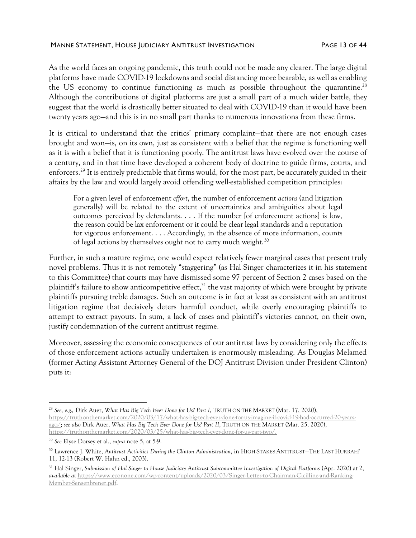#### MANNE STATEMENT, HOUSE JUDICIARY ANTITRUST INVESTIGATION FAGE 13 OF 44

As the world faces an ongoing pandemic, this truth could not be made any clearer. The large digital platforms have made COVID-19 lockdowns and social distancing more bearable, as well as enabling the US economy to continue functioning as much as possible throughout the quarantine.<sup>28</sup> Although the contributions of digital platforms are just a small part of a much wider battle, they suggest that the world is drastically better situated to deal with COVID-19 than it would have been twenty years ago—and this is in no small part thanks to numerous innovations from these firms.

It is critical to understand that the critics' primary complaint—that there are not enough cases brought and won—is, on its own, just as consistent with a belief that the regime is functioning well as it is with a belief that it is functioning poorly. The antitrust laws have evolved over the course of a century, and in that time have developed a coherent body of doctrine to guide firms, courts, and enforcers.<sup>29</sup> It is entirely predictable that firms would, for the most part, be accurately guided in their affairs by the law and would largely avoid offending well-established competition principles:

For a given level of enforcement *effort*, the number of enforcement *actions* (and litigation generally) will be related to the extent of uncertainties and ambiguities about legal outcomes perceived by defendants. . . . If the number [of enforcement actions] is low, the reason could be lax enforcement or it could be clear legal standards and a reputation for vigorous enforcement. . . . Accordingly, in the absence of more information, counts of legal actions by themselves ought not to carry much weight.<sup>30</sup>

<span id="page-12-0"></span>Further, in such a mature regime, one would expect relatively fewer marginal cases that present truly novel problems. Thus it is not remotely "staggering" (as Hal Singer characterizes it in his statement to this Committee) that courts may have dismissed some 97 percent of Section 2 cases based on the plaintiff's failure to show anticompetitive effect,<sup>31</sup> the vast majority of which were brought by private plaintiffs pursuing treble damages. Such an outcome is in fact at least as consistent with an antitrust litigation regime that decisively deters harmful conduct, while overly encouraging plaintiffs to attempt to extract payouts. In sum, a lack of cases and plaintiff's victories cannot, on their own, justify condemnation of the current antitrust regime.

Moreover, assessing the economic consequences of our antitrust laws by considering only the effects of those enforcement actions actually undertaken is enormously misleading. As Douglas Melamed (former Acting Assistant Attorney General of the DOJ Antitrust Division under President Clinton) puts it:

<sup>28</sup> *See, e.g.,* Dirk Auer, *What Has Big Tech Ever Done for Us? Part I*, TRUTH ON THE MARKET (Mar. 17, 2020), [https://truthonthemarket.com/2020/03/17/what-has-big-tech-ever-done-for-us-imagine-if-covid-19-had-occurred-20-years](https://truthonthemarket.com/2020/03/17/what-has-big-tech-ever-done-for-us-imagine-if-covid-19-had-occurred-20-years-ago/)[ago/;](https://truthonthemarket.com/2020/03/17/what-has-big-tech-ever-done-for-us-imagine-if-covid-19-had-occurred-20-years-ago/) *see also* Dirk Auer, *What Has Big Tech Ever Done for Us? Part II*, TRUTH ON THE MARKET (Mar. 25, 2020), [https://truthonthemarket.com/2020/03/25/what-has-big-tech-ever-done-for-us-part-two/.](https://truthonthemarket.com/2020/03/25/what-has-big-tech-ever-done-for-us-part-two/)

<sup>29</sup> *See* Elyse Dorsey et al., *supra* note [5,](#page-2-0) at 5-9.

<sup>30</sup> Lawrence J. White, *Antitrust Activities During the Clinton Administration*, in HIGH STAKES ANTITRUST—THE LAST HURRAH? 11, 12-13 (Robert W. Hahn ed., 2003).

<sup>31</sup> Hal Singer, *Submission of Hal Singer to House Judiciary Antitrust Subcommittee Investigation of Digital Platforms* (Apr. 2020) at 2, *available at* [https://www.econone.com/wp-content/uploads/2020/03/Singer-Letter-to-Chairman-Cicilline-and-Ranking-](https://www.econone.com/wp-content/uploads/2020/03/Singer-Letter-to-Chairman-Cicilline-and-Ranking-Member-Sensenbrener.pdf)[Member-Sensenbrener.pdf.](https://www.econone.com/wp-content/uploads/2020/03/Singer-Letter-to-Chairman-Cicilline-and-Ranking-Member-Sensenbrener.pdf)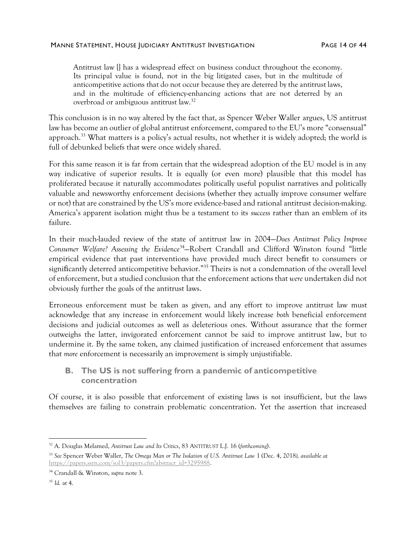Antitrust law [] has a widespread effect on business conduct throughout the economy. Its principal value is found, not in the big litigated cases, but in the multitude of anticompetitive actions that do not occur because they are deterred by the antitrust laws, and in the multitude of efficiency-enhancing actions that are not deterred by an overbroad or ambiguous antitrust law.<sup>32</sup>

This conclusion is in no way altered by the fact that, as Spencer Weber Waller argues, US antitrust law has become an outlier of global antitrust enforcement, compared to the EU's more "consensual" approach.<sup>33</sup> What matters is a policy's actual results, not whether it is widely adopted; the world is full of debunked beliefs that were once widely shared.

For this same reason it is far from certain that the widespread adoption of the EU model is in any way indicative of superior results. It is equally (or even more) plausible that this model has proliferated because it naturally accommodates politically useful populist narratives and politically valuable and newsworthy enforcement decisions (whether they actually improve consumer welfare or not) that are constrained by the US's more evidence-based and rational antitrust decision-making. America's apparent isolation might thus be a testament to its *success* rather than an emblem of its failure.

In their much-lauded review of the state of antitrust law in 2004—*Does Antitrust Policy Improve Consumer Welfare? Assessing the Evidence*<sup>34</sup>—Robert Crandall and Clifford Winston found "little empirical evidence that past interventions have provided much direct benefit to consumers or significantly deterred anticompetitive behavior."<sup>35</sup> Theirs is not a condemnation of the overall level of enforcement, but a studied conclusion that the enforcement actions that *were* undertaken did not obviously further the goals of the antitrust laws.

Erroneous enforcement must be taken as given, and any effort to improve antitrust law must acknowledge that any increase in enforcement would likely increase *both* beneficial enforcement decisions and judicial outcomes as well as deleterious ones. Without assurance that the former outweighs the latter, invigorated enforcement cannot be said to improve antitrust law, but to undermine it. By the same token, any claimed justification of increased enforcement that assumes that *more* enforcement is necessarily an improvement is simply unjustifiable.

## **B. The US is not suffering from a pandemic of anticompetitive concentration**

Of course, it is also possible that enforcement of existing laws is *not* insufficient, but the laws themselves are failing to constrain problematic concentration. Yet the assertion that increased

<sup>32</sup> A. Douglas Melamed, *Antitrust Law and Its Critics*, 83 ANTITRUST L.J. 16 (*forthcoming*).

<sup>33</sup> *See* Spencer Weber Waller, *The Omega Man or The Isolation of U.S. Antitrust Law* 1 (Dec. 4, 2018*), available at* [https://papers.ssrn.com/sol3/papers.cfm?abstract\\_id=3295988.](https://papers.ssrn.com/sol3/papers.cfm?abstract_id=3295988)

<sup>34</sup> Crandall & Winston, *supra* not[e 3.](#page-2-1)

<sup>35</sup> *Id.* at 4.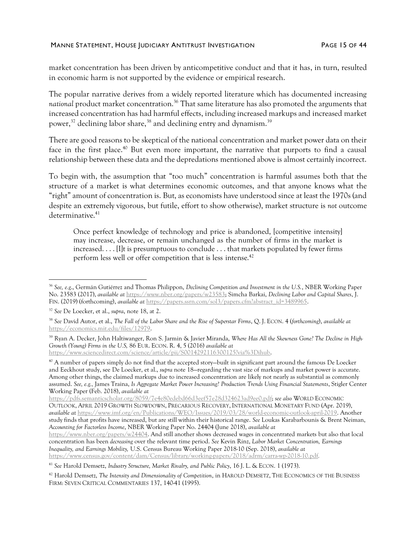market concentration has been driven by anticompetitive conduct and that it has, in turn, resulted in economic harm is not supported by the evidence or empirical research.

The popular narrative derives from a widely reported literature which has documented increasing national product market concentration.<sup>36</sup> That same literature has also promoted the arguments that increased concentration has had harmful effects, including increased markups and increased market power,<sup>37</sup> declining labor share,<sup>38</sup> and declining entry and dynamism.<sup>39</sup>

<span id="page-14-0"></span>There are good reasons to be skeptical of the national concentration and market power data on their face in the first place.<sup>40</sup> But even more important, the narrative that purports to find a causal relationship between these data and the depredations mentioned above is almost certainly incorrect.

To begin with, the assumption that "too much" concentration is harmful assumes both that the structure of a market is what determines economic outcomes, and that anyone knows what the "right" amount of concentration is. But, as economists have understood since at least the 1970s (and despite an extremely vigorous, but futile, effort to show otherwise), market structure is *not* outcome determinative.<sup>41</sup>

Once perfect knowledge of technology and price is abandoned, [competitive intensity] may increase, decrease, or remain unchanged as the number of firms in the market is increased. . . . [I]t is presumptuous to conclude . . . that markets populated by fewer firms perform less well or offer competition that is less intense. 42

<sup>41</sup> *See* Harold Demsetz, *Industry Structure, Market Rivalry, and Public Policy*, 16 J. L. & ECON. 1 (1973).

<sup>42</sup> Harold Demsetz, *The Intensity and Dimensionality of Competition*, in HAROLD DEMSETZ, THE ECONOMICS OF THE BUSINESS FIRM: SEVEN CRITICAL COMMENTARIES 137, 140-41 (1995).

<sup>36</sup> *See, e.g*., Germán Gutiérrez and Thomas Philippon, *Declining Competition and Investment in the U.S.*, NBER Working Paper No. 23583 (2017), *available at* [https://www.nber.org/papers/w23583;](https://www.nber.org/papers/w23583) Simcha Barkai, *Declining Labor and Capital Shares*, J. FIN. (2019) (forthcoming), *available at* [https://papers.ssrn.com/sol3/papers.cfm?abstract\\_id=3489965.](https://papers.ssrn.com/sol3/papers.cfm?abstract_id=3489965)

<sup>37</sup> *See* De Loecker, et al., *supra*, note [18,](#page-10-1) at 2.

<sup>38</sup> *See* David Autor, et al., *The Fall of the Labor Share and the Rise of Superstar Firms*, Q. J. ECON. 4 (*forthcoming*), *available at* [https://economics.mit.edu/files/12979.](https://economics.mit.edu/files/12979)

<sup>39</sup> Ryan A. Decker, John Haltiwanger, Ron S. Jarmin & Javier Miranda, *Where Has All the Skewness Gone? The Decline in High-Growth (Young) Firms in the U.S,* 86 EUR. ECON. R. 4, 5 (2016) *available at* [https://www.sciencedirect.com/science/article/pii/S0014292116300125?via%3Dihub.](https://www.sciencedirect.com/science/article/pii/S0014292116300125?via%3Dihub)

<sup>40</sup> A number of papers simply do not find that the accepted story—built in significant part around the famous De Loecker and Eeckhout study, see De Loecker, et al., *supra* note [18](#page-10-1)—regarding the vast size of markups and market power is accurate. Among other things, the claimed markups due to increased concentration are likely not nearly as substantial as commonly assumed. *See, e.g.,* James Traina, *Is Aggregate Market Power Increasing? Production Trends Using Financial Statements*, Stigler Center Working Paper (Feb. 2018), *available at*

[https://pdfs.semanticscholar.org/8059/7e4e80edebd66d3eef57e28d324623ad9ee0.pdf;](https://pdfs.semanticscholar.org/8059/7e4e80edebd66d3eef57e28d324623ad9ee0.pdf) *see also* WORLD ECONOMIC OUTLOOK, APRIL 2019 GROWTH SLOWDOWN, PRECARIOUS RECOVERY, INTERNATIONAL MONETARY FUND (Apr. 2019), *available at* [https://www.imf.org/en/Publications/WEO/Issues/2019/03/28/world-economic-outlook-april-2019.](https://www.imf.org/en/Publications/WEO/Issues/2019/03/28/world-economic-outlook-april-2019) Another study finds that profits have increased, but are still within their historical range. *See* Loukas Karabarbounis & Brent Neiman, *Accounting for Factorless Income*, NBER Working Paper No. 24404 (June 2018), *available at* [https://www.nber.org/papers/w24404.](https://www.nber.org/papers/w24404) And still another shows decreased wages in concentrated markets but also that local concentration has been *decreasing* over the relevant time period. *See* Kevin Rinz, *Labor Market Concentration, Earnings Inequality, and Earnings Mobility,* U.S. Census Bureau Working Paper 2018-10 (Sep. 2018), *available at* <https://www.census.gov/content/dam/Census/library/working-papers/2018/adrm/carra-wp-2018-10.pdf>*.*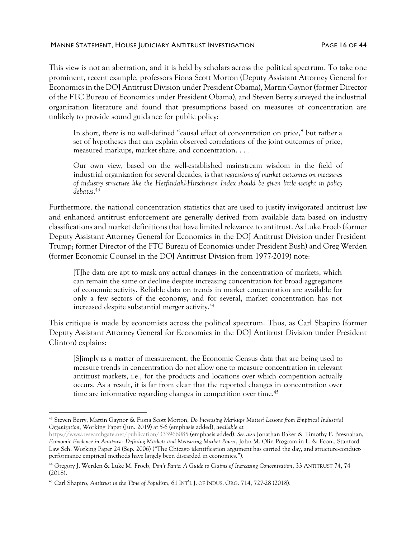#### MANNE STATEMENT, HOUSE JUDICIARY ANTITRUST INVESTIGATION FAGE 16 OF 44

This view is not an aberration, and it is held by scholars across the political spectrum. To take one prominent, recent example, professors Fiona Scott Morton (Deputy Assistant Attorney General for Economics in the DOJ Antitrust Division under President Obama), Martin Gaynor (former Director of the FTC Bureau of Economics under President Obama), and Steven Berry surveyed the industrial organization literature and found that presumptions based on measures of concentration are unlikely to provide sound guidance for public policy:

In short, there is no well-defined "causal effect of concentration on price," but rather a set of hypotheses that can explain observed correlations of the joint outcomes of price, measured markups, market share, and concentration. . . .

<span id="page-15-0"></span>Our own view, based on the well-established mainstream wisdom in the field of industrial organization for several decades, is that *regressions of market outcomes on measures of industry structure like the Herfindahl-Hirschman Index should be given little weight in policy debates*. 43

Furthermore, the national concentration statistics that are used to justify invigorated antitrust law and enhanced antitrust enforcement are generally derived from available data based on industry classifications and market definitions that have limited relevance to antitrust. As Luke Froeb (former Deputy Assistant Attorney General for Economics in the DOJ Antitrust Division under President Trump; former Director of the FTC Bureau of Economics under President Bush) and Greg Werden (former Economic Counsel in the DOJ Antitrust Division from 1977-2019) note:

[T]he data are apt to mask any actual changes in the concentration of markets, which can remain the same or decline despite increasing concentration for broad aggregations of economic activity. Reliable data on trends in market concentration are available for only a few sectors of the economy, and for several, market concentration has not increased despite substantial merger activity.<sup>44</sup>

This critique is made by economists across the political spectrum. Thus, as Carl Shapiro (former Deputy Assistant Attorney General for Economics in the DOJ Antitrust Division under President Clinton) explains:

<span id="page-15-1"></span>[S]imply as a matter of measurement, the Economic Census data that are being used to measure trends in concentration do not allow one to measure concentration in relevant antitrust markets, i.e., for the products and locations over which competition actually occurs. As a result, it is far from clear that the reported changes in concentration over time are informative regarding changes in competition over time. 45

<sup>43</sup> Steven Berry, Martin Gaynor & Fiona Scott Morton, *Do Increasing Markups Matter? Lessons from Empirical Industrial Organization*, Working Paper (Jun. 2019) at 5-6 (emphasis added), *available at*

<https://www.researchgate.net/publication/333966085> (emphasis added). *See also* Jonathan Baker & Timothy F. Bresnahan, *Economic Evidence in Antitrust: Defining Markets and Measuring Market Power*, John M. Olin Program in L. & Econ., Stanford Law Sch. Working Paper 24 (Sep. 2006) ("The Chicago identification argument has carried the day, and structure-conductperformance empirical methods have largely been discarded in economics.").

<sup>44</sup> Gregory J. Werden & Luke M. Froeb, *Don't Panic: A Guide to Claims of Increasing Concentration*, 33 ANTITRUST 74, 74 (2018).

<sup>45</sup> Carl Shapiro, *Antitrust in the Time of Populism*, 61 INT'L J. OF INDUS. ORG. 714, 727-28 (2018).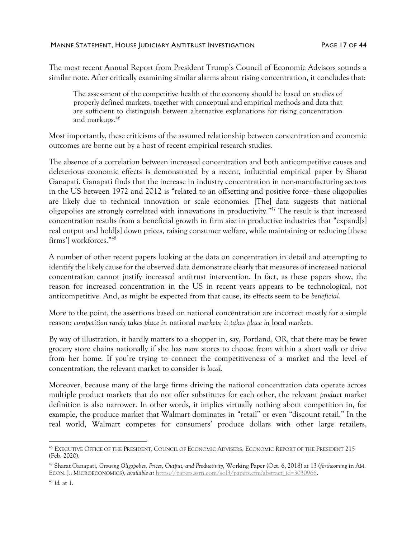The most recent Annual Report from President Trump's Council of Economic Advisors sounds a similar note. After critically examining similar alarms about rising concentration, it concludes that:

The assessment of the competitive health of the economy should be based on studies of properly defined markets, together with conceptual and empirical methods and data that are sufficient to distinguish between alternative explanations for rising concentration and markups.<sup>46</sup>

Most importantly, these criticisms of the assumed relationship between concentration and economic outcomes are borne out by a host of recent empirical research studies.

The absence of a correlation between increased concentration and both anticompetitive causes and deleterious economic effects is demonstrated by a recent, influential empirical paper by Sharat Ganapati. Ganapati finds that the increase in industry concentration in non-manufacturing sectors in the US between 1972 and 2012 is "related to an offsetting and positive force—these oligopolies are likely due to technical innovation or scale economies. [The] data suggests that national oligopolies are strongly correlated with innovations in productivity." <sup>47</sup> The result is that increased concentration results from a beneficial growth in firm size in productive industries that "expand[s] real output and hold[s] down prices, raising consumer welfare, while maintaining or reducing [these firms'] workforces." 48

A number of other recent papers looking at the data on concentration in detail and attempting to identify the likely cause for the observed data demonstrate clearly that measures of increased national concentration cannot justify increased antitrust intervention. In fact, as these papers show, the reason for increased concentration in the US in recent years appears to be technological, not anticompetitive. And, as might be expected from that cause, its effects seem to be *beneficial*.

More to the point, the assertions based on national concentration are incorrect mostly for a simple reason: *competition rarely takes place in* national *markets; it takes place in* local *markets*.

By way of illustration, it hardly matters to a shopper in, say, Portland, OR, that there may be fewer grocery store chains nationally if she has *more* stores to choose from within a short walk or drive from her home. If you're trying to connect the competitiveness of a market and the level of concentration, the relevant market to consider is *local.* 

Moreover, because many of the large firms driving the national concentration data operate across multiple product markets that do not offer substitutes for each other, the relevant *product* market definition is also narrower. In other words, it implies virtually nothing about competition in, for example, the produce market that Walmart dominates in "retail" or even "discount retail." In the real world, Walmart competes for consumers' produce dollars with other large retailers,

<sup>46</sup> EXECUTIVE OFFICE OF THE PRESIDENT, COUNCIL OF ECONOMIC ADVISERS, ECONOMIC REPORT OF THE PRESIDENT 215 (Feb. 2020).

<sup>47</sup> Sharat Ganapati, *Growing Oligopolies, Prices, Output, and Productivity*, Working Paper (Oct. 6, 2018) at 13 (*forthcoming* in AM. ECON. J.: MICROECONOMICS), *available at* [https://papers.ssrn.com/sol3/papers.cfm?abstract\\_id=3030966.](https://papers.ssrn.com/sol3/papers.cfm?abstract_id=3030966)

<sup>48</sup> *Id.* at 1.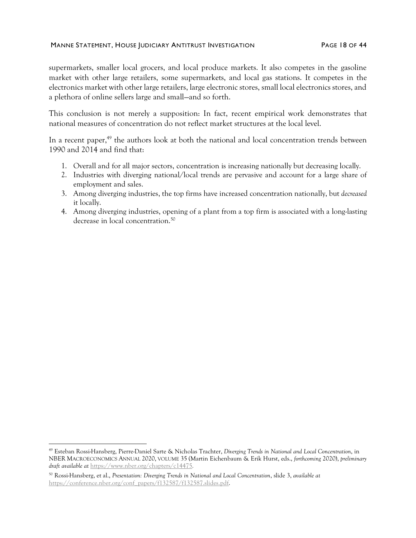#### MANNE STATEMENT, HOUSE JUDICIARY ANTITRUST INVESTIGATION FAGE 18 OF 44

supermarkets, smaller local grocers, and local produce markets. It also competes in the gasoline market with other large retailers, some supermarkets, and local gas stations. It competes in the electronics market with other large retailers, large electronic stores, small local electronics stores, and a plethora of online sellers large and small—and so forth.

This conclusion is not merely a supposition: In fact, recent empirical work demonstrates that national measures of concentration do not reflect market structures at the local level.

In a recent paper, $49$  the authors look at both the national and local concentration trends between 1990 and 2014 and find that:

- <span id="page-17-0"></span>1. Overall and for all major sectors, concentration is increasing nationally but decreasing locally.
- 2. Industries with diverging national/local trends are pervasive and account for a large share of employment and sales.
- 3. Among diverging industries, the top firms have increased concentration nationally, but *decreased* it locally.
- 4. Among diverging industries, opening of a plant from a top firm is associated with a long-lasting decrease in local concentration.<sup>50</sup>

<sup>49</sup> Esteban Rossi-Hansberg, Pierre-Daniel Sarte & Nicholas Trachter, *Diverging Trends in National and Local Concentration*, in NBER MACROECONOMICS ANNUAL 2020, VOLUME 35 (Martin Eichenbaum & Erik Hurst, eds., *forthcoming* 2020), *preliminary draft available at* <https://www.nber.org/chapters/c14475>*.*

<sup>50</sup> Rossi-Hansberg, et al., *Presentation: Diverging Trends in National and Local Concentration*, slide 3, *available at* [https://conference.nber.org/conf\\_papers/f132587/f132587.slides.pdf.](https://conference.nber.org/conf_papers/f132587/f132587.slides.pdf)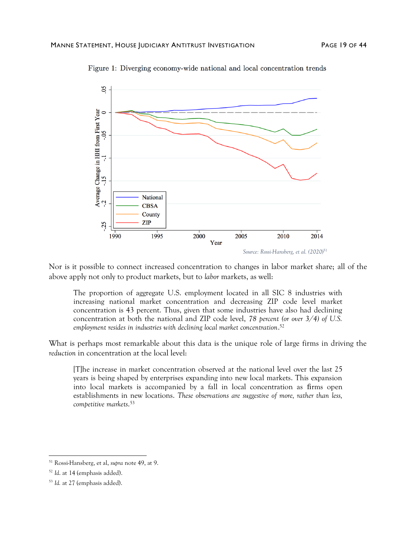

Figure 1: Diverging economy-wide national and local concentration trends

Nor is it possible to connect increased concentration to changes in labor market share; all of the above apply not only to product markets, but to *labor* markets, as well:

The proportion of aggregate U.S. employment located in all SIC 8 industries with increasing national market concentration and decreasing ZIP code level market concentration is 43 percent. Thus, given that some industries have also had declining concentration at both the national and ZIP code level, *78 percent (or over 3/4) of U.S. employment resides in industries with declining local market concentration*. 52

What is perhaps most remarkable about this data is the unique role of large firms in driving the *reduction* in concentration at the local level:

[T]he increase in market concentration observed at the national level over the last 25 years is being shaped by enterprises expanding into new local markets. This expansion into local markets is accompanied by a fall in local concentration as firms open establishments in new locations. *These observations are suggestive of more, rather than less, competitive markets*. 53

<sup>51</sup> Rossi-Hansberg, et al, *supra* note [49,](#page-17-0) at 9.

<sup>52</sup> *Id*. at 14 (emphasis added).

<sup>53</sup> *Id.* at 27 (emphasis added).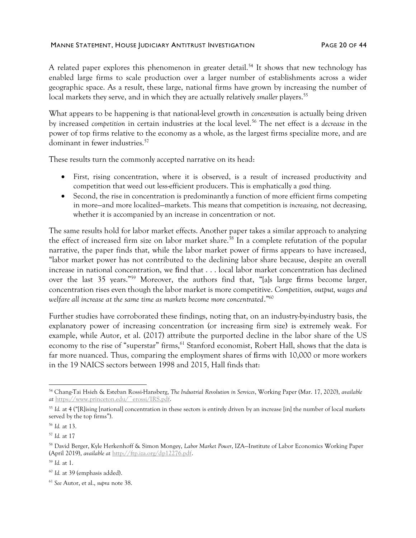#### MANNE STATEMENT, HOUSE JUDICIARY ANTITRUST INVESTIGATION FAGE 20 OF 44

A related paper explores this phenomenon in greater detail.<sup>54</sup> It shows that new technology has enabled large firms to scale production over a larger number of establishments across a wider geographic space. As a result, these large, national firms have grown by increasing the number of local markets they serve, and in which they are actually relatively *smaller* players.<sup>55</sup>

What appears to be happening is that national-level growth in *concentration* is actually being driven by increased *competition* in certain industries at the local level.<sup>56</sup> The net effect is a *decrease* in the power of top firms relative to the economy as a whole, as the largest firms specialize more, and are dominant in fewer industries.<sup>57</sup>

These results turn the commonly accepted narrative on its head:

- First, rising concentration, where it is observed, is a result of increased productivity and competition that weed out less-efficient producers. This is emphatically a *good* thing.
- Second, the rise in concentration is predominantly a function of more efficient firms competing in more—and more localized—markets. This means that competition is *increasing*, not decreasing, whether it is accompanied by an increase in concentration or not.

The same results hold for labor market effects. Another paper takes a similar approach to analyzing the effect of increased firm size on labor market share.<sup>58</sup> In a complete refutation of the popular narrative, the paper finds that, while the labor market power of firms appears to have increased, "labor market power has not contributed to the declining labor share because, despite an overall increase in national concentration, we find that . . . local labor market concentration has declined over the last 35 years."<sup>59</sup> Moreover, the authors find that, "[a]s large firms become larger, concentration rises even though the labor market is more competitive. *Competition, output, wages and welfare all increase at the same time as markets become more concentrated*."<sup>60</sup>

Further studies have corroborated these findings, noting that, on an industry-by-industry basis, the explanatory power of increasing concentration (or increasing firm size) is extremely weak. For example, while Autor, et al. (2017) attribute the purported decline in the labor share of the US economy to the rise of "superstar" firms, <sup>61</sup> Stanford economist, Robert Hall, shows that the data is far more nuanced. Thus, comparing the employment shares of firms with 10,000 or more workers in the 19 NAICS sectors between 1998 and 2015, Hall finds that:

<sup>54</sup> Chang-Tai Hsieh & Esteban Rossi-Hansberg, *The Industrial Revolution in Services*, Working Paper (Mar. 17, 2020), *available at* [https://www.princeton.edu/~erossi/IRS.pdf.](https://www.princeton.edu/~erossi/IRS.pdf)

<sup>&</sup>lt;sup>55</sup> Id. at 4 ("[R]ising [national] concentration in these sectors is entirely driven by an increase [in] the number of local markets served by the top firms").

<sup>56</sup> *Id.* at 13.

<sup>57</sup> *Id.* at 17

<sup>58</sup> David Berger, Kyle Herkenhoff & Simon Mongey, *Labor Market Power*, IZA—Institute of Labor Economics Working Paper (April 2019), *available at* [http://ftp.iza.org/dp12276.pdf.](http://ftp.iza.org/dp12276.pdf)

<sup>59</sup> *Id.* at 1.

<sup>60</sup> *Id.* at 39 (emphasis added).

<sup>61</sup> *See* Autor, et al., *supra* note [38.](#page-14-0)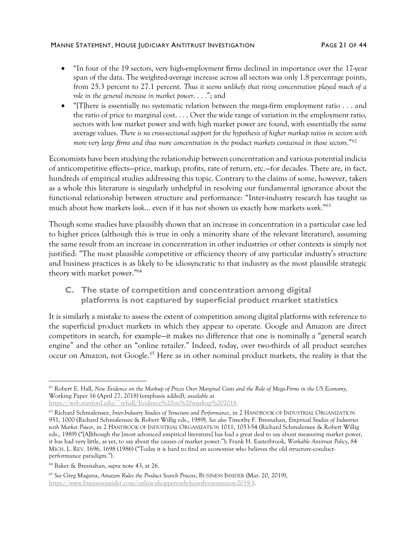#### MANNE STATEMENT, HOUSE JUDICIARY ANTITRUST INVESTIGATION FAGE 21 OF 44

- "In four of the 19 sectors, very high-employment firms declined in importance over the 17-year span of the data. The weighted-average increase across all sectors was only 1.8 percentage points, from 25.3 percent to 27.1 percent. *Thus it seems unlikely that rising concentration played much of a role in the general increase in market power*. . . ."; and
- "IThere is essentially no systematic relation between the mega-firm employment ratio  $\ldots$  and the ratio of price to marginal cost. . . . Over the wide range of variation in the employment ratio, sectors with low market power and with high market power are found, with essentially the same average values. *There is no cross-sectional support for the hypothesis of higher markup ratios in sectors with more very large firms and thus more concentration in the product markets contained in those sectors*."<sup>62</sup>

Economists have been studying the relationship between concentration and various potential indicia of anticompetitive effects—price, markup, profits, rate of return, etc.—for decades. There are, in fact, hundreds of empirical studies addressing this topic. Contrary to the claims of some, however, taken as a whole this literature is singularly unhelpful in resolving our fundamental ignorance about the functional relationship between structure and performance: "Inter-industry research has taught us much about how markets *look*… even if it has not shown us exactly how markets *work*." 63

Though some studies have plausibly shown that an increase in concentration in a particular case led to higher prices (although this is true in only a minority share of the relevant literature), assuming the same result from an increase in concentration in other industries or other contexts is simply not justified: "The most plausible competitive or efficiency theory of any particular industry's structure and business practices is as likely to be idiosyncratic to that industry as the most plausible strategic theory with market power."<sup>64</sup>

**C. The state of competition and concentration among digital platforms is not captured by superficial product market statistics** 

It is similarly a mistake to assess the extent of competition among digital platforms with reference to the superficial product markets in which they appear to operate. Google and Amazon are direct competitors in search, for example—it makes no difference that one is nominally a "general search engine" and the other an "online retailer." Indeed, today, over two-thirds of all product searches occur on Amazon, not Google.<sup>65</sup> Here as in other nominal product markets, the reality is that the

<sup>62</sup> Robert E. Hall, *New Evidence on the Markup of Prices Over Marginal Costs and the Role of Mega-Firms in the US Economy*, Working Paper 16 (April 27, 2018) (emphasis added), *available at*

<https://web.stanford.edu/~rehall/Evidence%20on%20markup%202018>*.*

<sup>63</sup> Richard Schmalensee, *Inter-Industry Studies of Structure and Performance*, in 2 HANDBOOK OF INDUSTRIAL ORGANIZATION 951, 1000 (Richard Schmalensee & Robert Willig eds., 1989). *See also* Timothy F. Bresnahan, *Empirical Studies of Industries with Market Power*, in 2 HANDBOOK OF INDUSTRIAL ORGANIZATION 1011, 1053-54 (Richard Schmalensee & Robert Willig eds., 1989) ("[A]lthough the [most advanced empirical literature] has had a great deal to say about measuring market power, it has had very little, as yet, to say about the causes of market power."); Frank H. Easterbrook, *Workable Antitrust Policy*, 84 MICH. L. REV. 1696, 1698 (1986) ("Today it is hard to find an economist who believes the old structure-conductperformance paradigm.").

<sup>64</sup> Baker & Bresnahan, *supra* note [43,](#page-15-0) at 26.

<sup>65</sup> *See* Greg Magana, *Amazon Rules the Product Search Process*, BUSINESS INSIDER (Mar. 20, 2019), [https://www.businessinsider.com/online-shoppers-rely-heavily-on-amazon-2019-3.](https://www.businessinsider.com/online-shoppers-rely-heavily-on-amazon-2019-3)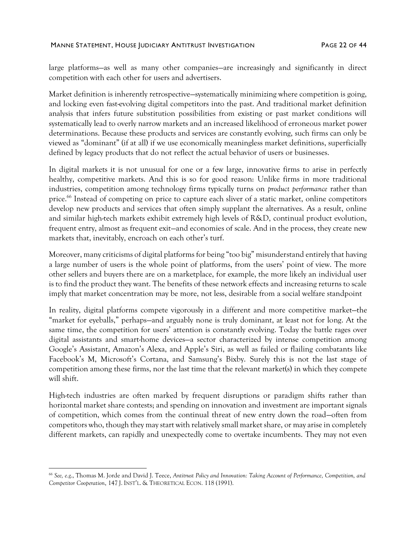large platforms—as well as many other companies—are increasingly and significantly in direct competition with each other for users and advertisers.

Market definition is inherently retrospective—systematically minimizing where competition is going, and locking even fast-evolving digital competitors into the past. And traditional market definition analysis that infers future substitution possibilities from existing or past market conditions will systematically lead to overly narrow markets and an increased likelihood of erroneous market power determinations. Because these products and services are constantly evolving, such firms can only be viewed as "dominant" (if at all) if we use economically meaningless market definitions, superficially defined by legacy products that do not reflect the actual behavior of users or businesses.

In digital markets it is not unusual for one or a few large, innovative firms to arise in perfectly healthy, competitive markets. And this is so for good reason: Unlike firms in more traditional industries, competition among technology firms typically turns on *product performance* rather than price.<sup>66</sup> Instead of competing on price to capture each sliver of a static market, online competitors develop new products and services that often simply supplant the alternatives. As a result, online and similar high-tech markets exhibit extremely high levels of R&D, continual product evolution, frequent entry, almost as frequent exit—and economies of scale. And in the process, they create new markets that, inevitably, encroach on each other's turf.

Moreover, many criticisms of digital platforms for being "too big" misunderstand entirely that having a large number of users is the whole point of platforms, from the users' point of view. The more other sellers and buyers there are on a marketplace, for example, the more likely an individual user is to find the product they want. The benefits of these network effects and increasing returns to scale imply that market concentration may be more, not less, desirable from a social welfare standpoint

In reality, digital platforms compete vigorously in a different and more competitive market—the "market for eyeballs," perhaps—and arguably none is truly dominant, at least not for long. At the same time, the competition for users' attention is constantly evolving. Today the battle rages over digital assistants and smart-home devices—a sector characterized by intense competition among Google's Assistant, Amazon's Alexa, and Apple's Siri, as well as failed or flailing combatants like Facebook's M, Microsoft's Cortana, and Samsung's Bixby. Surely this is not the last stage of competition among these firms, nor the last time that the relevant market(s) in which they compete will shift.

High-tech industries are often marked by frequent disruptions or paradigm shifts rather than horizontal market share contests; and spending on innovation and investment are important signals of competition, which comes from the continual threat of new entry down the road—often from competitors who, though they may start with relatively small market share, or may arise in completely different markets, can rapidly and unexpectedly come to overtake incumbents. They may not even

<sup>66</sup> *See, e.g*., Thomas M. Jorde and David J. Teece, *Antitrust Policy and Innovation: Taking Account of Performance, Competition, and Competitor Cooperation*, 147 J. INST'L. & THEORETICAL ECON. 118 (1991).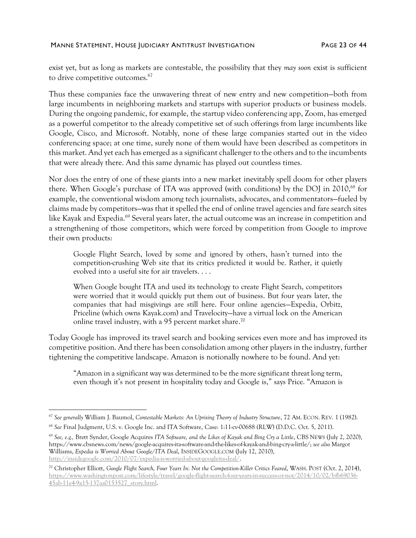#### MANNE STATEMENT, HOUSE JUDICIARY ANTITRUST INVESTIGATION FAGE 23 OF 44

<span id="page-22-0"></span>exist yet, but as long as markets are contestable, the possibility that they *may soon* exist is sufficient to drive competitive outcomes.<sup>67</sup>

Thus these companies face the unwavering threat of new entry and new competition—both from large incumbents in neighboring markets and startups with superior products or business models. During the ongoing pandemic, for example, the startup video conferencing app, Zoom, has emerged as a powerful competitor to the already competitive set of such offerings from large incumbents like Google, Cisco, and Microsoft. Notably, none of these large companies started out in the video conferencing space; at one time, surely none of them would have been described as competitors in this market. And yet each has emerged as a significant challenger to the others and to the incumbents that were already there. And this same dynamic has played out countless times.

Nor does the entry of one of these giants into a new market inevitably spell doom for other players there. When Google's purchase of ITA was approved (with conditions) by the DOJ in 2010,<sup>68</sup> for example, the conventional wisdom among tech journalists, advocates, and commentators—fueled by claims made by competitors—was that it spelled the end of online travel agencies and fare search sites like Kayak and Expedia.<sup>69</sup> Several years later, the actual outcome was an increase in competition and a strengthening of those competitors, which were forced by competition from Google to improve their own products:

Google Flight Search, loved by some and ignored by others, hasn't turned into the competition-crushing Web site that its critics predicted it would be. Rather, it quietly evolved into a useful site for air travelers. . . .

When Google bought ITA and used its technology to create Flight Search, competitors were worried that it would quickly put them out of business. But four years later, the companies that had misgivings are still here. Four online agencies—Expedia, Orbitz, Priceline (which owns Kayak.com) and Travelocity—have a virtual lock on the American online travel industry, with a 95 percent market share. 70

Today Google has improved its travel search and booking services even more and has improved its competitive position. And there has been consolidation among other players in the industry, further tightening the competitive landscape. Amazon is notionally nowhere to be found. And yet:

"Amazon in a significant way was determined to be the more significant threat long term, even though it's not present in hospitality today and Google is," says Price. "Amazon is

<sup>67</sup> *See generally* William J. Baumol, *Contestable Markets: An Uprising Theory of Industry Structure*, 72 AM. ECON. REV. 1 (1982).

<sup>68</sup> *See* Final Judgment, U.S. v. Google Inc. and ITA Software, Case: 1:11-cv-00688 (RLW) (D.D.C. Oct. 5, 2011).

<sup>69</sup> *See, e.g.,* Brett Synder, Google Acquires *ITA Software, and the Likes of Kayak and Bing Cry a Little*, CBS NEWS (July 2, 2020), https://www.cbsnews.com/news/google-acquires-ita-software-and-the-likes-of-kayak-and-bing-cry-a-little/; *see also* Margot Williams, *Expedia is Worried About Google/ITA Deal*, INSIDEGOOGLE.COM (July 12, 2010), [http://insidegoogle.com/2010/07/expedia-is-worried-about-googleita-deal/.](http://insidegoogle.com/2010/07/expedia-is-worried-about-googleita-deal/)

<sup>70</sup> Christopher Elliott, *Google Flight Search, Four Years In: Not the Competition-Killer Critics Feared*, WASH. POST (Oct. 2, 2014), [https://www.washingtonpost.com/lifestyle/travel/google-flight-search-four-years-in-success-or-not/2014/10/02/bfb69036-](https://www.washingtonpost.com/lifestyle/travel/google-flight-search-four-years-in-success-or-not/2014/10/02/bfb69036-45ab-11e4-9a15-137aa0153527_story.html) [45ab-11e4-9a15-137aa0153527\\_story.html.](https://www.washingtonpost.com/lifestyle/travel/google-flight-search-four-years-in-success-or-not/2014/10/02/bfb69036-45ab-11e4-9a15-137aa0153527_story.html)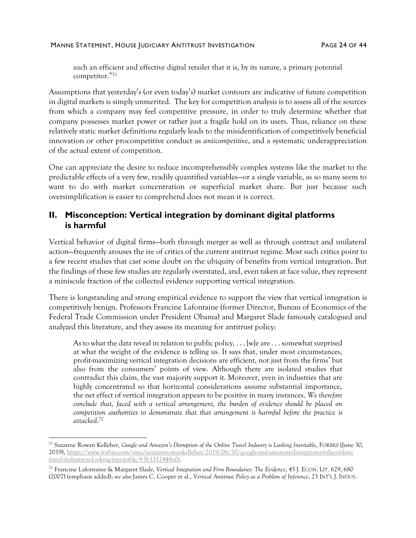#### MANNE STATEMENT, HOUSE JUDICIARY ANTITRUST INVESTIGATION FAGE 24 OF 44

such an efficient and effective digital retailer that it is, by its nature, a primary potential competitor."<sup>71</sup>

Assumptions that yesterday's (or even today's) market contours are indicative of future competition in digital markets is simply unmerited. The key for competition analysis is to assess all of the sources from which a company may feel competitive pressure, in order to truly determine whether that company possesses market power or rather just a fragile hold on its users. Thus, reliance on these relatively static market definitions regularly leads to the misidentification of competitively beneficial innovation or other procompetitive conduct as *anticompetitive*, and a systematic underappreciation of the actual extent of competition.

One can appreciate the desire to reduce incomprehensibly complex systems like the market to the predictable effects of a very few, readily quantified variables—or a single variable, as so many seem to want to do with market concentration or superficial market share. But just because such oversimplification is easier to comprehend does not mean it is correct.

# **II. Misconception: Vertical integration by dominant digital platforms is harmful**

Vertical behavior of digital firms—both through merger as well as through contract and unilateral action—frequently arouses the ire of critics of the current antitrust regime. Most such critics point to a few recent studies that cast some doubt on the ubiquity of benefits from vertical integration. But the findings of these few studies are regularly overstated, and, even taken at face value, they represent a miniscule fraction of the collected evidence supporting vertical integration.

There is longstanding and strong empirical evidence to support the view that vertical integration is competitively benign. Professors Francine Lafontaine (former Director, Bureau of Economics of the Federal Trade Commission under President Obama) and Margaret Slade famously catalogued and analyzed this literature, and they assess its meaning for antitrust policy:

As to what the data reveal in relation to public policy,  $\dots$  [w]e are  $\dots$  somewhat surprised at what the weight of the evidence is telling us. It says that, under most circumstances, profit-maximizing vertical integration decisions are efficient, not just from the firms' but also from the consumers' points of view. Although there are isolated studies that contradict this claim, the vast majority support it. Moreover, even in industries that are highly concentrated so that horizontal considerations assume substantial importance, the net effect of vertical integration appears to be positive in many instances. *We therefore conclude that, faced with a vertical arrangement, the burden of evidence should be placed on competition authorities to demonstrate that that arrangement is harmful before the practice is attacked*. 72

<span id="page-23-0"></span><sup>71</sup> Suzanne Rowan Kelleher, *Google and Amazon's Disruption of the Online Travel Industry is Looking Inevitable*, FORBES (June 30, 2019)[, https://www.forbes.com/sites/suzannerowankelleher/2019/06/30/google-and-amazons-disruption-of-the-online](https://www.forbes.com/sites/suzannerowankelleher/2019/06/30/google-and-amazons-disruption-of-the-online-travel-industry-is-looking-inevitable/#3b3312448e0f)[travel-industry-is-looking-inevitable/#3b3312448e0f.](https://www.forbes.com/sites/suzannerowankelleher/2019/06/30/google-and-amazons-disruption-of-the-online-travel-industry-is-looking-inevitable/#3b3312448e0f)

<sup>72</sup> Francine Lafontaine & Margaret Slade, *Vertical Integration and Firm Boundaries: The Evidence*, 45 J. ECON. LIT. 629, 680 (2007) (emphasis added); *see also* James C. Cooper et al., *Vertical Antitrust Policy as a Problem of Inference*, 23 INT'L J. INDUS.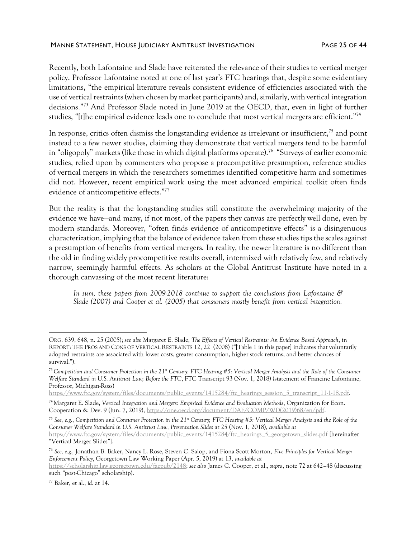#### MANNE STATEMENT, HOUSE JUDICIARY ANTITRUST INVESTIGATION FAGE 25 OF 44

Recently, both Lafontaine and Slade have reiterated the relevance of their studies to vertical merger policy. Professor Lafontaine noted at one of last year's FTC hearings that, despite some evidentiary limitations, "the empirical literature reveals consistent evidence of efficiencies associated with the use of vertical restraints (when chosen by market participants) and, similarly, with vertical integration decisions." <sup>73</sup> And Professor Slade noted in June 2019 at the OECD, that, even in light of further studies, "[t]he empirical evidence leads one to conclude that most vertical mergers are efficient."<sup>74</sup>

<span id="page-24-0"></span>In response, critics often dismiss the longstanding evidence as irrelevant or insufficient,<sup>75</sup> and point instead to a few newer studies, claiming they demonstrate that vertical mergers tend to be harmful in "oligopoly" markets (like those in which digital platforms operate).<sup>76</sup> "Surveys of earlier economic studies, relied upon by commenters who propose a procompetitive presumption, reference studies of vertical mergers in which the researchers sometimes identified competitive harm and sometimes did not. However, recent empirical work using the most advanced empirical toolkit often finds evidence of anticompetitive effects."<sup>77</sup>

But the reality is that the longstanding studies still constitute the overwhelming majority of the evidence we have—and many, if not most, of the papers they canvas are perfectly well done, even by modern standards. Moreover, "often finds evidence of anticompetitive effects" is a disingenuous characterization, implying that the balance of evidence taken from these studies tips the scales against a presumption of benefits from vertical mergers. In reality, the newer literature is no different than the old in finding widely procompetitive results overall, intermixed with relatively few, and relatively narrow, seemingly harmful effects. As scholars at the Global Antitrust Institute have noted in a thorough canvassing of the most recent literature:

*In sum, these papers from 2009-2018 continue to support the conclusions from Lafontaine & Slade (2007) and Cooper et al. (2005) that consumers mostly benefit from vertical integration.*

ORG. 639, 648, n. 25 (2005); *see also* Margaret E. Slade, *The Effects of Vertical Restraints: An Evidence Based Approach*, in REPORT: THE PROS AND CONS OF VERTICAL RESTRAINTS 12, 22 (2008) ("[Table 1 in this paper] indicates that voluntarily adopted restraints are associated with lower costs, greater consumption, higher stock returns, and better chances of survival.").

<sup>&</sup>lt;sup>73</sup> Competition and Consumer Protection in the 21<sup>*s*t</sup> Century: FTC Hearing #5: Vertical Merger Analysis and the Role of the Consumer *Welfare Standard in U.S. Antitrust Law; Before the FTC*, FTC Transcript 93 (Nov. 1, 2018) (statement of Francine Lafontaine, Professor, Michigan-Ross)

[https://www.ftc.gov/system/files/documents/public\\_events/1415284/ftc\\_hearings\\_session\\_5\\_transcript\\_11-1-18.pdf.](https://www.ftc.gov/system/files/documents/public_events/1415284/ftc_hearings_session_5_transcript_11-1-18.pdf)

<sup>74</sup> Margaret E. Slade, *Vertical Integration and Mergers: Empirical Evidence and Evaluation Methods*, Organization for Econ. Cooperation & Dev. 9 (Jun. 7, 2019)[, https://one.oecd.org/document/DAF/COMP/WD\(2019\)68/en/pdf.](https://one.oecd.org/document/DAF/COMP/WD(2019)68/en/pdf)

<sup>75</sup> *See, e.g*., *Competition and Consumer Protection in the 21st Century; FTC Hearing #5: Vertical Merger Analysis and the Role of the Consumer Welfare Standard in U.S. Antitrust Law, Presentation Slides* at 25 (Nov. 1, 2018), *available at* [https://www.ftc.gov/system/files/documents/public\\_events/1415284/ftc\\_hearings\\_5\\_georgetown\\_slides.pdf](https://www.ftc.gov/system/files/documents/public_events/1415284/ftc_hearings_5_georgetown_slides.pdf) [hereinafter "Vertical Merger Slides"].

<sup>76</sup> *See, e.g.,* Jonathan B. Baker, Nancy L. Rose, Steven C. Salop, and Fiona Scott Morton, *Five Principles for Vertical Merger Enforcement Policy*, Georgetown Law Working Paper (Apr. 5, 2019) at 13, *available at*

[https://scholarship.law.georgetown.edu/facpub/2148;](https://scholarship.law.georgetown.edu/facpub/2148) *see also* James C. Cooper, et al., *supra*, not[e 72](#page-23-0) at 642–48 (discussing such "post-Chicago" scholarship).

<sup>77</sup> Baker, et al., *id.* at 14.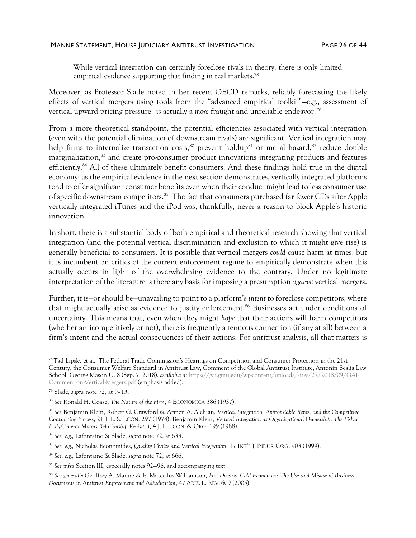#### MANNE STATEMENT, HOUSE JUDICIARY ANTITRUST INVESTIGATION FAGE 26 OF 44

While vertical integration can certainly foreclose rivals in theory, there is only limited empirical evidence supporting that finding in real markets.<sup>78</sup>

Moreover, as Professor Slade noted in her recent OECD remarks, reliably forecasting the likely effects of vertical mergers using tools from the "advanced empirical toolkit"—e.g., assessment of vertical upward pricing pressure—is actually a *more* fraught and unreliable endeavor. 79

From a more theoretical standpoint, the potential efficiencies associated with vertical integration (even with the potential elimination of downstream rivals) are significant. Vertical integration may help firms to internalize transaction costs,<sup>80</sup> prevent holdup<sup>81</sup> or moral hazard,<sup>82</sup> reduce double marginalization,<sup>83</sup> and create pro-consumer product innovations integrating products and features efficiently.<sup>84</sup> All of these ultimately benefit consumers. And these findings hold true in the digital economy: as the empirical evidence in the next section demonstrates, vertically integrated platforms tend to offer significant consumer benefits even when their conduct might lead to less consumer use of specific downstream competitors.<sup>85</sup> The fact that consumers purchased far fewer CDs after Apple vertically integrated iTunes and the iPod was, thankfully, never a reason to block Apple's historic innovation.

In short, there is a substantial body of both empirical and theoretical research showing that vertical integration (and the potential vertical discrimination and exclusion to which it might give rise) is generally beneficial to consumers. It is possible that vertical mergers *could* cause harm at times, but it is incumbent on critics of the current enforcement regime to empirically demonstrate when this actually occurs in light of the overwhelming evidence to the contrary. Under no legitimate interpretation of the literature is there any basis for imposing a presumption *against* vertical mergers.

Further, it is—or should be—unavailing to point to a platform's *intent* to foreclose competitors, where that might actually arise as evidence to justify enforcement. <sup>86</sup> Businesses act under conditions of uncertainty. This means that, even when they might *hope* that their actions will harm competitors (whether anticompetitively or not), there is frequently a tenuous connection (if any at all) between a firm's intent and the actual consequences of their actions. For antitrust analysis, all that matters is

<sup>78</sup> Tad Lipsky et al., The Federal Trade Commission's Hearings on Competition and Consumer Protection in the 21st Century, the Consumer Welfare Standard in Antitrust Law, Comment of the Global Antitrust Institute, Antonin Scalia Law School, George Mason U. 8 (Sep. 7, 2018), *available at* [https://gai.gmu.edu/wp-content/uploads/sites/27/2018/09/GAI-](https://gai.gmu.edu/wp-content/uploads/sites/27/2018/09/GAI-Comment-on-Vertical-Mergers.pdf)[Comment-on-Vertical-Mergers.pdf](https://gai.gmu.edu/wp-content/uploads/sites/27/2018/09/GAI-Comment-on-Vertical-Mergers.pdf) (emphasis added).

<sup>79</sup> Slade, *supra* note [72,](#page-23-0) at 9–13.

<sup>80</sup> *See* Ronald H. Coase, *The Nature of the Firm*, 4 ECONOMICA 386 (1937).

<sup>81</sup> *See* Benjamin Klein, Robert G. Crawford & Armen A. Alchian, *Vertical Integration, Appropriable Rents, and the Competitive Contracting Process*, 21 J. L. & ECON. 297 (1978); Benjamin Klein, *Vertical Integration as Organizational Ownership: The Fisher Body-General Motors Relationship Revisited*, 4 J. L. ECON. & ORG. 199 (1988).

<sup>82</sup> *See, e.g.,* Lafontaine & Slade, *supra* note [72,](#page-23-0) at 633.

<sup>83</sup> *See, e.g.,* Nicholas Economides, *Quality Choice and Vertical Integration*, 17 INT'L J. INDUS. ORG. 903 (1999).

<sup>84</sup> *See, e.g.,* Lafontaine & Slade, *supra* note [72,](#page-23-0) at 666.

<sup>85</sup> *See infra* Sectio[n III,](#page-27-0) especially notes [92](#page-27-1)—[96,](#page-28-0) and accompanying text.

<sup>86</sup> *See generally* Geoffrey A. Manne & E. Marcellus Williamson, *Hot Docs vs. Cold Economics: The Use and Misuse of Business Documents in Antitrust Enforcement and Adjudication*, 47 ARIZ. L. REV. 609 (2005).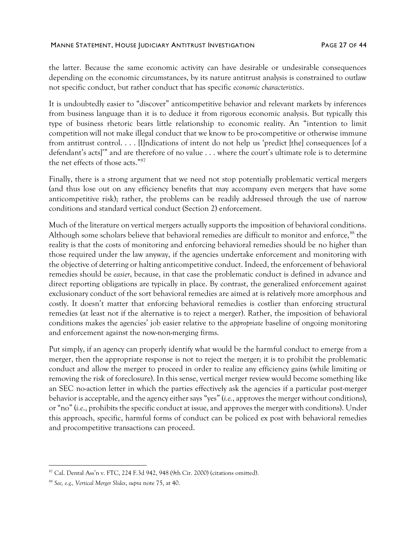#### MANNE STATEMENT, HOUSE JUDICIARY ANTITRUST INVESTIGATION FAGE 27 OF 44

the latter. Because the same economic activity can have desirable or undesirable consequences depending on the economic circumstances, by its nature antitrust analysis is constrained to outlaw not specific conduct, but rather conduct that has specific *economic characteristics*.

It is undoubtedly easier to "discover" anticompetitive behavior and relevant markets by inferences from business language than it is to deduce it from rigorous economic analysis. But typically this type of business rhetoric bears little relationship to economic reality. An "intention to limit competition will not make illegal conduct that we know to be pro-competitive or otherwise immune from antitrust control. . . . [I]ndications of intent do not help us 'predict [the] consequences [of a defendant's acts]'" and are therefore of no value . . . where the court's ultimate role is to determine the net effects of those acts." 87

Finally, there is a strong argument that we need not stop potentially problematic vertical mergers (and thus lose out on any efficiency benefits that may accompany even mergers that have some anticompetitive risk); rather, the problems can be readily addressed through the use of narrow conditions and standard vertical conduct (Section 2) enforcement.

Much of the literature on vertical mergers actually supports the imposition of behavioral conditions. Although some scholars believe that behavioral remedies are difficult to monitor and enforce,<sup>88</sup> the reality is that the costs of monitoring and enforcing behavioral remedies should be no higher than those required under the law anyway, if the agencies undertake enforcement and monitoring with the objective of deterring or halting anticompetitive conduct. Indeed, the enforcement of behavioral remedies should be *easier*, because, in that case the problematic conduct is defined in advance and direct reporting obligations are typically in place. By contrast, the generalized enforcement against exclusionary conduct of the sort behavioral remedies are aimed at is relatively more amorphous and costly. It doesn't matter that enforcing behavioral remedies is costlier than enforcing structural remedies (at least not if the alternative is to reject a merger). Rather, the imposition of behavioral conditions makes the agencies' job easier relative to the *appropriate* baseline of ongoing monitoring and enforcement against the now-non-merging firms.

Put simply, if an agency can properly identify what would be the harmful conduct to emerge from a merger, then the appropriate response is not to reject the merger; it is to prohibit the problematic conduct and allow the merger to proceed in order to realize any efficiency gains (while limiting or removing the risk of foreclosure). In this sense, vertical merger review would become something like an SEC no-action letter in which the parties effectively ask the agencies if a particular post-merger behavior is acceptable, and the agency either says "yes" (*i.e.*, approves the merger without conditions), or "no" (*i.e*., prohibits the specific conduct at issue, and approves the merger with conditions). Under this approach, specific, harmful forms of conduct can be policed ex post with behavioral remedies and procompetitive transactions can proceed.

<sup>87</sup> Cal. Dental Ass'n v. FTC, 224 F.3d 942, 948 (9th Cir. 2000) (citations omitted).

<sup>88</sup> *See, e.g., Vertical Merger Slides*, *supra* note [75,](#page-24-0) at 40.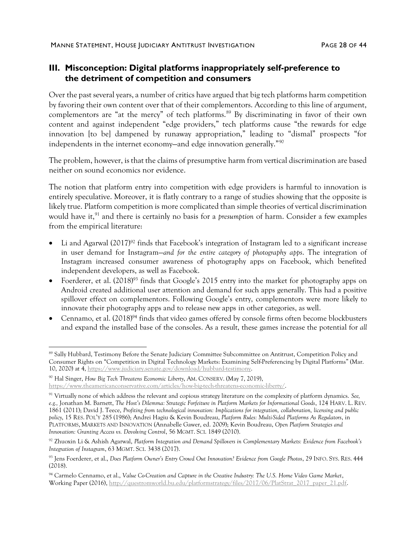# <span id="page-27-0"></span>**III. Misconception: Digital platforms inappropriately self-preference to the detriment of competition and consumers**

Over the past several years, a number of critics have argued that big tech platforms harm competition by favoring their own content over that of their complementors. According to this line of argument, complementors are "at the mercy" of tech platforms.<sup>89</sup> By discriminating in favor of their own content and against independent "edge providers," tech platforms cause "the rewards for edge innovation [to be] dampened by runaway appropriation," leading to "dismal" prospects "for independents in the internet economy—and edge innovation generally."<sup>90</sup>

The problem, however, is that the claims of presumptive harm from vertical discrimination are based neither on sound economics nor evidence.

The notion that platform entry into competition with edge providers is harmful to innovation is entirely speculative. Moreover, it is flatly contrary to a range of studies showing that the opposite is likely true. Platform competition is more complicated than simple theories of vertical discrimination would have it,<sup>91</sup> and there is certainly no basis for a *presumption* of harm. Consider a few examples from the empirical literature:

- <span id="page-27-2"></span><span id="page-27-1"></span>Li and Agarwal (2017)<sup>92</sup> finds that Facebook's integration of Instagram led to a significant increase in user demand for Instagram—*and for the entire category of photography apps*. The integration of Instagram increased consumer awareness of photography apps on Facebook, which benefited independent developers, as well as Facebook.
- Foerderer, et al. (2018)<sup>93</sup> finds that Google's 2015 entry into the market for photography apps on Android created additional user attention and demand for such apps generally. This had a positive spillover effect on complementors. Following Google's entry, complementors were more likely to innovate their photography apps and to release new apps in other categories, as well.
- Cennamo, et al. (2018)<sup>94</sup> finds that video games offered by console firms often become blockbusters and expand the installed base of the consoles. As a result, these games increase the potential for *all*

<sup>89</sup> Sally Hubbard, Testimony Before the Senate Judiciary Committee Subcommittee on Antitrust, Competition Policy and Consumer Rights on "Competition in Digital Technology Markets: Examining Self-Preferencing by Digital Platforms" (Mar. 10, 2020) at 4, [https://www.judiciary.senate.gov/download/hubbard-testimony.](https://www.judiciary.senate.gov/download/hubbard-testimony)

<sup>90</sup> Hal Singer, *How Big Tech Threatens Economic Liberty*, AM. CONSERV. (May 7, 2019), [https://www.theamericanconservative.com/articles/how-big-tech-threatens-economic-liberty/.](https://www.theamericanconservative.com/articles/how-big-tech-threatens-economic-liberty/)

<sup>91</sup> Virtually none of which address the relevant and copious strategy literature on the complexity of platform dynamics. *See, e.g.,* Jonathan M. Barnett, *The Host's Dilemma: Strategic Forfeiture in Platform Markets for Informational Goods*, 124 HARV. L. REV. 1861 (2011); David J. Teece, *Profiting from technological innovation: Implications for integration, collaboration, licensing and public policy*, 15 RES. POL'Y 285 (1986); Andrei Hagiu & Kevin Boudreau, *Platform Rules: Multi-Sided Platforms As Regulators*, in PLATFORMS, MARKETS AND INNOVATION (Annabelle Gawer, ed. 2009); Kevin Boudreau, *Open Platform Strategies and Innovation: Granting Access vs. Devolving Control*, 56 MGMT. SCI. 1849 (2010).

<sup>92</sup> Zhuoxin Li & Ashish Agarwal, *Platform Integration and Demand Spillovers in Complementary Markets: Evidence from Facebook's Integration of Instagram*, 63 MGMT. SCI. 3438 (2017).

<sup>93</sup> Jens Foerderer, et al., *Does Platform Owner's Entry Crowd Out Innovation? Evidence from Google Photos*, 29 INFO. SYS. RES. 444 (2018).

<sup>94</sup> Carmelo Cennamo, et al., *Value Co-Creation and Capture in the Creative Industry: The U.S. Home Video Game Market*, Working Paper (2016)[, http://questromworld.bu.edu/platformstrategy/files/2017/06/PlatStrat\\_2017\\_paper\\_21.pdf.](http://questromworld.bu.edu/platformstrategy/files/2017/06/PlatStrat_2017_paper_21.pdf)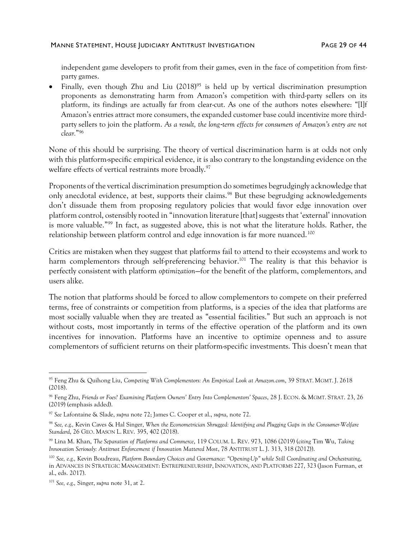#### MANNE STATEMENT, HOUSE JUDICIARY ANTITRUST INVESTIGATION FAGE 29 OF 44

independent game developers to profit from their games, even in the face of competition from firstparty games.

Finally, even though Zhu and Liu (2018)<sup>95</sup> is held up by vertical discrimination presumption proponents as demonstrating harm from Amazon's competition with third-party sellers on its platform, its findings are actually far from clear-cut. As one of the authors notes elsewhere: "[I]f Amazon's entries attract more consumers, the expanded customer base could incentivize more third‐ party sellers to join the platform. As a result, the long-term effects for consumers of Amazon's entry are not *clear.*" 96

<span id="page-28-0"></span>None of this should be surprising. The theory of vertical discrimination harm is at odds not only with this platform-specific empirical evidence, it is also contrary to the longstanding evidence on the welfare effects of vertical restraints more broadly.<sup>97</sup>

Proponents of the vertical discrimination presumption do sometimes begrudgingly acknowledge that only anecdotal evidence, at best, supports their claims.<sup>98</sup> But these begrudging acknowledgements don't dissuade them from proposing regulatory policies that would favor edge innovation over platform control, ostensibly rooted in "innovation literature [that] suggests that 'external' innovation is more valuable."<sup>99</sup> In fact, as suggested above, this is not what the literature holds. Rather, the relationship between platform control and edge innovation is far more nuanced.<sup>100</sup>

<span id="page-28-1"></span>Critics are mistaken when they suggest that platforms fail to attend to their ecosystems and work to harm complementors through self-preferencing behavior.<sup>101</sup> The reality is that this behavior is perfectly consistent with platform *optimization*—for the benefit of the platform, complementors, and users alike.

The notion that platforms should be forced to allow complementors to compete on their preferred terms, free of constraints or competition from platforms, is a species of the idea that platforms are most socially valuable when they are treated as "essential facilities." But such an approach is not without costs, most importantly in terms of the effective operation of the platform and its own incentives for innovation. Platforms have an incentive to optimize openness and to assure complementors of sufficient returns on their platform-specific investments. This doesn't mean that

<sup>95</sup> Feng Zhu & Quihong Liu, *Competing With Complementors: An Empirical Look at Amazon.com*, 39 STRAT. MGMT. J. 2618 (2018).

<sup>96</sup> Feng Zhu, *Friends or Foes? Examining Platform Owners' Entry Into Complementors' Spaces*, 28 J. ECON. & MGMT. STRAT. 23, 26 (2019) (emphasis added).

<sup>97</sup> *See* Lafontaine & Slade, *supra* note [72;](#page-23-0) James C. Cooper et al., *supra*, note [72.](#page-23-0)

<sup>98</sup> *See, e.g.,* Kevin Caves & Hal Singer, *When the Econometrician Shrugged: Identifying and Plugging Gaps in the Consumer-Welfare Standard*, 26 GEO. MASON L. REV. 395, 402 (2018).

<sup>99</sup> Lina M. Khan, *The Separation of Platforms and Commerce*, 119 COLUM. L. REV. 973, 1086 (2019) (*citing* Tim Wu, *Taking Innovation Seriously: Antitrust Enforcement if Innovation Mattered Most*, 78 ANTITRUST L. J. 313, 318 (2012)).

<sup>100</sup> *See, e.g.,* Kevin Boudreau, *Platform Boundary Choices and Governance: "Opening-Up" while Still Coordinating and Orchestrating*, in ADVANCES IN STRATEGIC MANAGEMENT: ENTREPRENEURSHIP, INNOVATION, AND PLATFORMS 227, 323 (Jason Furman, et al., eds. 2017).

<sup>101</sup> *See, e.g.,* Singer, *supra* note [31,](#page-12-0) at 2.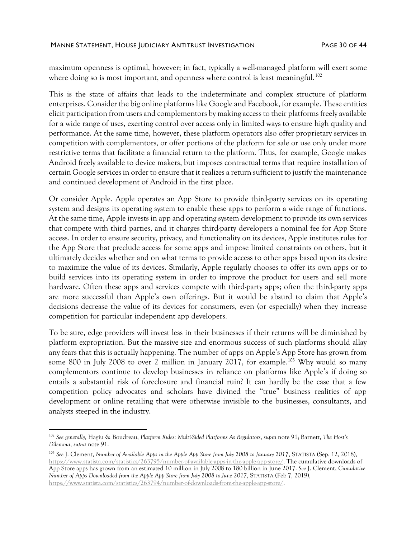maximum openness is optimal, however; in fact, typically a well-managed platform will exert some where doing so is most important, and openness where control is least meaningful.<sup>102</sup>

This is the state of affairs that leads to the indeterminate and complex structure of platform enterprises. Consider the big online platforms like Google and Facebook, for example. These entities elicit participation from users and complementors by making access to their platforms freely available for a wide range of uses, exerting control over access only in limited ways to ensure high quality and performance. At the same time, however, these platform operators also offer proprietary services in competition with complementors, or offer portions of the platform for sale or use only under more restrictive terms that facilitate a financial return to the platform. Thus, for example, Google makes Android freely available to device makers, but imposes contractual terms that require installation of certain Google services in order to ensure that it realizes a return sufficient to justify the maintenance and continued development of Android in the first place.

Or consider Apple. Apple operates an App Store to provide third-party services on its operating system and designs its operating system to enable these apps to perform a wide range of functions. At the same time, Apple invests in app and operating system development to provide its own services that compete with third parties, and it charges third-party developers a nominal fee for App Store access. In order to ensure security, privacy, and functionality on its devices, Apple institutes rules for the App Store that preclude access for some apps and impose limited constraints on others, but it ultimately decides whether and on what terms to provide access to other apps based upon its desire to maximize the value of its devices. Similarly, Apple regularly chooses to offer its own apps or to build services into its operating system in order to improve the product for users and sell more hardware. Often these apps and services compete with third-party apps; often the third-party apps are more successful than Apple's own offerings. But it would be absurd to claim that Apple's decisions decrease the value of its devices for consumers, even (or especially) when they increase competition for particular independent app developers.

To be sure, edge providers will invest less in their businesses if their returns will be diminished by platform expropriation. But the massive size and enormous success of such platforms should allay any fears that this is actually happening. The number of apps on Apple's App Store has grown from some 800 in July 2008 to over 2 million in January 2017, for example.<sup>103</sup> Why would so many complementors continue to develop businesses in reliance on platforms like Apple's if doing so entails a substantial risk of foreclosure and financial ruin? It can hardly be the case that a few competition policy advocates and scholars have divined the "true" business realities of app development or online retailing that were otherwise invisible to the businesses, consultants, and analysts steeped in the industry.

<sup>102</sup> *See generally,* Hagiu & Boudreau, *Platform Rules: Multi-Sided Platforms As Regulators*, *supra* note [91;](#page-27-2) Barnett, *The Host's Dilemma*, *supra* note [91.](#page-27-2)

<sup>103</sup> *See* J. Clement, *Number of Available Apps in the Apple App Store from July 2008 to January 2017*, STATISTA (Sep. 12, 2018), [https://www.statista.com/statistics/263795/number-of-available-apps-in-the-apple-app-store/.](https://www.statista.com/statistics/263795/number-of-available-apps-in-the-apple-app-store/) The cumulative downloads of App Store apps has grown from an estimated 10 million in July 2008 to 180 billion in June 2017. *See* J. Clement, *Cumulative Number of Apps Downloaded from the Apple App Store from July 2008 to June 2017*, STATISTA (Feb 7, 2019), [https://www.statista.com/statistics/263794/number-of-downloads-from-the-apple-app-store/.](https://www.statista.com/statistics/263794/number-of-downloads-from-the-apple-app-store/)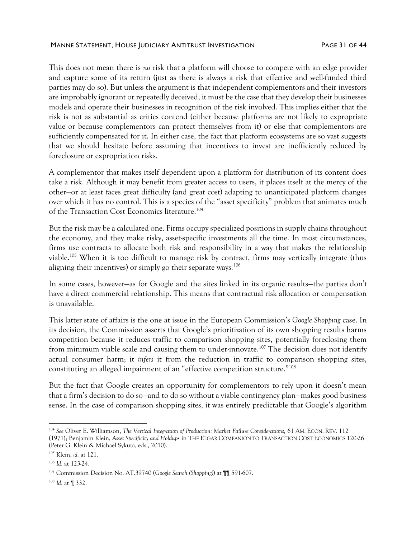#### MANNE STATEMENT, HOUSE JUDICIARY ANTITRUST INVESTIGATION FAGE 31 OF 44

This does not mean there is *no* risk that a platform will choose to compete with an edge provider and capture some of its return (just as there is always a risk that effective and well-funded third parties may do so). But unless the argument is that independent complementors and their investors are improbably ignorant or repeatedly deceived, it must be the case that they develop their businesses models and operate their businesses in recognition of the risk involved. This implies either that the risk is not as substantial as critics contend (either because platforms are not likely to expropriate value or because complementors can protect themselves from it) or else that complementors are sufficiently compensated for it. In either case, the fact that platform ecosystems are so vast suggests that we should hesitate before assuming that incentives to invest are inefficiently reduced by foreclosure or expropriation risks.

A complementor that makes itself dependent upon a platform for distribution of its content does take a risk. Although it may benefit from greater access to users, it places itself at the mercy of the other—or at least faces great difficulty (and great cost) adapting to unanticipated platform changes over which it has no control. This is a species of the "asset specificity" problem that animates much of the Transaction Cost Economics literature. 104

But the risk may be a calculated one. Firms occupy specialized positions in supply chains throughout the economy, and they make risky, asset-specific investments all the time. In most circumstances, firms use contracts to allocate both risk and responsibility in a way that makes the relationship viable.<sup>105</sup> When it is too difficult to manage risk by contract, firms may vertically integrate (thus aligning their incentives) or simply go their separate ways.<sup>106</sup>

In some cases, however—as for Google and the sites linked in its organic results—the parties don't have a direct commercial relationship. This means that contractual risk allocation or compensation is unavailable.

This latter state of affairs is the one at issue in the European Commission's *Google Shopping* case. In its decision, the Commission asserts that Google's prioritization of its own shopping results harms competition because it reduces traffic to comparison shopping sites, potentially foreclosing them from minimum viable scale and causing them to under-innovate.<sup>107</sup> The decision does not identify actual consumer harm; it *infers* it from the reduction in traffic to comparison shopping sites, constituting an alleged impairment of an "effective competition structure." 108

But the fact that Google creates an opportunity for complementors to rely upon it doesn't mean that a firm's decision to do so—and to do so without a viable contingency plan—makes good business sense. In the case of comparison shopping sites, it was entirely predictable that Google's algorithm

<sup>104</sup> *See* Oliver E. Williamson, *The Vertical Integration of Production: Market Failure Considerations,* 61 AM. ECON. REV. 112 (1971); Benjamin Klein, *Asset Specificity and Holdups* in THE ELGAR COMPANION TO TRANSACTION COST ECONOMICS 120-26 (Peter G. Klein & Michael Sykuta, eds., 2010).

<sup>105</sup> Klein, *id.* at 121.

<sup>106</sup> *Id*. at 123-24.

<sup>107</sup> Commission Decision No. AT.39740 (*Google Search (Shopping)*) at ¶¶ 591-607.

<sup>108</sup> *Id*. at ¶ 332.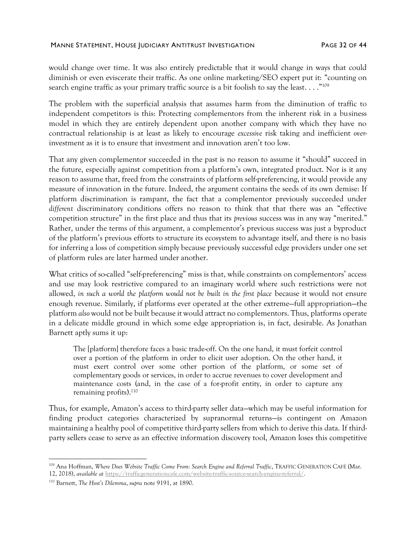would change over time. It was also entirely predictable that it would change in ways that could diminish or even eviscerate their traffic. As one online marketing/SEO expert put it: "counting on search engine traffic as your primary traffic source is a bit foolish to say the least. . . ." $^{109}$ 

The problem with the superficial analysis that assumes harm from the diminution of traffic to independent competitors is this: Protecting complementors from the inherent risk in a business model in which they are entirely dependent upon another company with which they have no contractual relationship is at least as likely to encourage *excessive* risk taking and inefficient *over*investment as it is to ensure that investment and innovation aren't too low.

That any given complementor succeeded in the past is no reason to assume it "should" succeed in the future, especially against competition from a platform's own, integrated product. Nor is it any reason to assume that, freed from the constraints of platform self-preferencing, it would provide any measure of innovation in the future. Indeed, the argument contains the seeds of its own demise: If platform discrimination is rampant, the fact that a complementor previously succeeded under *different* discriminatory conditions offers no reason to think that that there was an "effective competition structure" in the first place and thus that its *previous* success was in any way "merited." Rather, under the terms of this argument, a complementor's previous success was just a byproduct of the platform's previous efforts to structure its ecosystem to advantage itself, and there is no basis for inferring a loss of competition simply because previously successful edge providers under one set of platform rules are later harmed under another.

What critics of so-called "self-preferencing" miss is that, while constraints on complementors' access and use may look restrictive compared to an imaginary world where such restrictions were not allowed, *in such a world the platform would not be built in the first place* because it would not ensure enough revenue. Similarly, if platforms ever operated at the other extreme—full appropriation—the platform *also* would not be built because it would attract no complementors. Thus, platforms operate in a delicate middle ground in which some edge appropriation is, in fact, desirable. As Jonathan Barnett aptly sums it up:

The [platform] therefore faces a basic trade-off. On the one hand, it must forfeit control over a portion of the platform in order to elicit user adoption. On the other hand, it must exert control over some other portion of the platform, or some set of complementary goods or services, in order to accrue revenues to cover development and maintenance costs (and, in the case of a for-profit entity, in order to capture any remaining profits). 110

Thus, for example, Amazon's access to third-party seller data—which may be useful information for finding product categories characterized by supranormal returns—is contingent on Amazon maintaining a healthy pool of competitive third-party sellers from which to derive this data. If thirdparty sellers cease to serve as an effective information discovery tool, Amazon loses this competitive

<sup>&</sup>lt;sup>109</sup> Ana Hoffman, Where Does Website Traffic Come From: Search Engine and Referral Traffic, TRAFFIC GENERATION CAFÉ (Mar. 12, 2018), *available at* [https://trafficgenerationcafe.com/website-traffic-source-search-engine-referral/.](https://trafficgenerationcafe.com/website-traffic-source-search-engine-referral/)

<sup>110</sup> Barnett, *The Host's Dilemma*, *supra* not[e 9191,](#page-27-2) at 1890.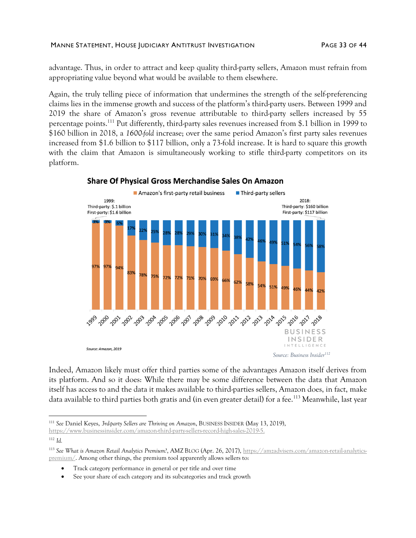#### MANNE STATEMENT, HOUSE JUDICIARY ANTITRUST INVESTIGATION FAGE 33 OF 44

advantage. Thus, in order to attract and keep quality third-party sellers, Amazon must refrain from appropriating value beyond what would be available to them elsewhere.

Again, the truly telling piece of information that undermines the strength of the self-preferencing claims lies in the immense growth and success of the platform's third-party users. Between 1999 and 2019 the share of Amazon's gross revenue attributable to third-party sellers increased by 55 percentage points.<sup>111</sup> Put differently, third-party sales revenues increased from \$.1 billion in 1999 to \$160 billion in 2018, a *1600-fold* increase; over the same period Amazon's first party sales revenues increased from \$1.6 billion to \$117 billion, only a 73-fold increase. It is hard to square this growth with the claim that Amazon is simultaneously working to stifle third-party competitors on its platform.



## Share Of Physical Gross Merchandise Sales On Amazon

Indeed, Amazon likely must offer third parties some of the advantages Amazon itself derives from its platform. And so it does: While there may be some difference between the data that Amazon itself has access to and the data it makes available to third-parties sellers, Amazon does, in fact, make data available to third parties both gratis and (in even greater detail) for a fee.<sup>113</sup> Meanwhile, last year

- Track category performance in general or per title and over time
- See your share of each category and its subcategories and track growth

<sup>111</sup> *See* Daniel Keyes, *3rd-party Sellers are Thriving on Amazon*, BUSINESS INSIDER (May 13, 2019), [https://www.businessinsider.com/amazon-third-party-sellers-record-high-sales-2019-5.](https://www.businessinsider.com/amazon-third-party-sellers-record-high-sales-2019-5) 

<sup>112</sup> *Id.*

<sup>113</sup> *See What is Amazon Retail Analytics Premium?*, AMZ BLOG (Apr. 26, 2017)[, https://amzadvisers.com/amazon-retail-analytics](https://amzadvisers.com/amazon-retail-analytics-premium/)[premium/.](https://amzadvisers.com/amazon-retail-analytics-premium/) Among other things, the premium tool apparently allows sellers to: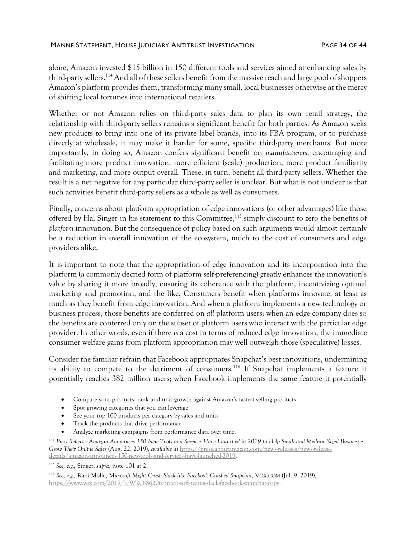alone, Amazon invested \$15 billion in 150 different tools and services aimed at enhancing sales by third-party sellers.<sup>114</sup> And all of these sellers benefit from the massive reach and large pool of shoppers Amazon's platform provides them, transforming many small, local businesses otherwise at the mercy of shifting local fortunes into international retailers.

Whether or not Amazon relies on third-party sales data to plan its own retail strategy, the relationship with third-party sellers remains a significant benefit for both parties. As Amazon seeks new products to bring into one of its private label brands, into its FBA program, or to purchase directly at wholesale, it may make it harder for some, specific third-party merchants. But more importantly, in doing so, Amazon confers significant benefit on *manufacturers*, encouraging and facilitating more product innovation, more efficient (scale) production, more product familiarity and marketing, and more output overall. These, in turn, benefit all third-party sellers. Whether the result is a net negative for any particular third-party seller is unclear. But what is not unclear is that such activities benefit third-party sellers as a whole as well as consumers.

Finally, concerns about platform appropriation of edge innovations (or other advantages) like those offered by Hal Singer in his statement to this Committee,<sup>115</sup> simply discount to zero the benefits of *platform* innovation. But the consequence of policy based on such arguments would almost certainly be a reduction in overall innovation of the ecosystem, much to the cost of consumers and edge providers alike.

It is important to note that the appropriation of edge innovation and its incorporation into the platform (a commonly decried form of platform self-preferencing) greatly enhances the innovation's value by sharing it more broadly, ensuring its coherence with the platform, incentivizing optimal marketing and promotion, and the like. Consumers benefit when platforms innovate, at least as much as they benefit from edge innovation. And when a platform implements a new technology or business process, those benefits are conferred on *all* platform users; when an edge company does so the benefits are conferred only on the subset of platform users who interact with the particular edge provider. In other words, even if there *is* a cost in terms of reduced edge innovation, the immediate consumer welfare gains from platform appropriation may well outweigh those (speculative) losses.

Consider the familiar refrain that Facebook appropriates Snapchat's best innovations, undermining its ability to compete to the detriment of consumers.<sup>116</sup> If Snapchat implements a feature it potentially reaches 382 million users; when Facebook implements the same feature it potentially

- Spot growing categories that you can leverage
- See your top 100 products per category by sales and units
- Track the products that drive performance
- Analyze marketing campaigns from performance data over time.

<sup>•</sup> Compare your products' rank and unit growth against Amazon's fastest selling products

<sup>114</sup> *Press Release: Amazon Announces 150 New Tools and Services Have Launched in 2019 to Help Small and Medium-Sized Businesses Grow Their Online Sales* (Aug. 22, 2019), *available at* [https://press.aboutamazon.com/news-releases/news-release](https://press.aboutamazon.com/news-releases/news-release-details/amazon-announces-150-new-tools-and-services-have-launched-2019)[details/amazon-announces-150-new-tools-and-services-have-launched-2019.](https://press.aboutamazon.com/news-releases/news-release-details/amazon-announces-150-new-tools-and-services-have-launched-2019) 

<sup>115</sup> *See, e.g.,* Singer, *supra*, not[e 101](#page-28-1) at 2.

<sup>116</sup> *See, e.g.,* Rani Molla, *Microsoft Might Crush Slack like Facebook Crushed Snapchat*, VOX.COM (Jul. 9, 2019), [https://www.vox.com/2019/7/9/20686206/microsoft-teams-slack-facebook-snapchat-copy.](https://www.vox.com/2019/7/9/20686206/microsoft-teams-slack-facebook-snapchat-copy)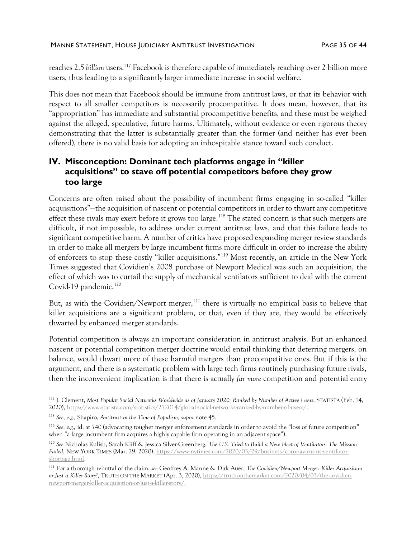reaches 2.5 *billion* users.<sup>117</sup> Facebook is therefore capable of immediately reaching over 2 billion more users, thus leading to a significantly larger immediate increase in social welfare.

This does not mean that Facebook should be immune from antitrust laws, or that its behavior with respect to all smaller competitors is necessarily procompetitive. It does mean, however, that its "appropriation" has immediate and substantial procompetitive benefits, and these must be weighed against the alleged, speculative, future harms. Ultimately, without evidence or even rigorous theory demonstrating that the latter is substantially greater than the former (and neither has ever been offered), there is no valid basis for adopting an inhospitable stance toward such conduct.

# **IV. Misconception: Dominant tech platforms engage in "killer acquisitions" to stave off potential competitors before they grow too large**

Concerns are often raised about the possibility of incumbent firms engaging in so-called "killer acquisitions"—the acquisition of nascent or potential competitors in order to thwart any competitive effect these rivals may exert before it grows too large.<sup>118</sup> The stated concern is that such mergers are difficult, if not impossible, to address under current antitrust laws, and that this failure leads to significant competitive harm. A number of critics have proposed expanding merger review standards in order to make all mergers by large incumbent firms more difficult in order to increase the ability of enforcers to stop these costly "killer acquisitions." <sup>119</sup> Most recently, an article in the New York Times suggested that Covidien's 2008 purchase of Newport Medical was such an acquisition, the effect of which was to curtail the supply of mechanical ventilators sufficient to deal with the current Covid-19 pandemic.<sup>120</sup>

But, as with the Covidien/Newport merger,<sup>121</sup> there is virtually no empirical basis to believe that killer acquisitions are a significant problem, or that, even if they are, they would be effectively thwarted by enhanced merger standards.

Potential competition is always an important consideration in antitrust analysis. But an enhanced nascent or potential competition merger doctrine would entail thinking that deterring mergers, on balance, would thwart more of these harmful mergers than procompetitive ones. But if this is the argument, and there is a systematic problem with large tech firms routinely purchasing future rivals, then the inconvenient implication is that there is actually *far more* competition and potential entry

<sup>117</sup> J. Clement, *Most Popular Social Networks Worldwide as of January 2020, Ranked by Number of Active Users*, STATISTA (Feb. 14, 2020)[, https://www.statista.com/statistics/272014/global-social-networks-ranked-by-number-of-users/.](https://www.statista.com/statistics/272014/global-social-networks-ranked-by-number-of-users/)

<sup>118</sup> *See, e.g.,* Shapiro, *Antitrust in the Time of Populism, supra* note [45.](#page-15-1)

<sup>119</sup> *See, e.g.,* id. at 740 (advocating tougher merger enforcement standards in order to avoid the "loss of future competition" when "a large incumbent firm acquires a highly capable firm operating in an adjacent space").

<sup>120</sup> *See* Nicholas Kulish, Sarah Kliff & Jessica Silver-Greenberg, *The U.S. Tried to Build a New Fleet of Ventilators. The Mission Failed*, NEW YORK TIMES (Mar. 29, 2020), [https://www.nytimes.com/2020/03/29/business/coronavirus-us-ventilator](https://www.nytimes.com/2020/03/29/business/coronavirus-us-ventilator-shortage.html)[shortage.html.](https://www.nytimes.com/2020/03/29/business/coronavirus-us-ventilator-shortage.html)

<sup>121</sup> For a thorough rebuttal of the claim, *see* Geoffrey A. Manne & Dirk Auer, *The Covidien/Newport Merger: Killer Acquisition or Just a Killer Story?*, TRUTH ON THE MARKET (Apr. 3, 2020)[, https://truthonthemarket.com/2020/04/03/the-covidien](https://truthonthemarket.com/2020/04/03/the-covidien-newport-merger-killer-acquisition-or-just-a-killer-story/)[newport-merger-killer-acquisition-or-just-a-killer-story/.](https://truthonthemarket.com/2020/04/03/the-covidien-newport-merger-killer-acquisition-or-just-a-killer-story/)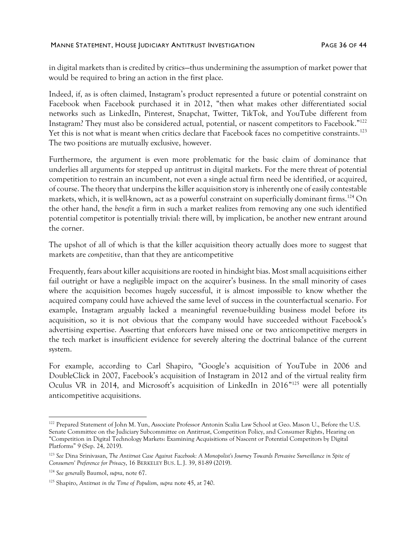in digital markets than is credited by critics—thus undermining the assumption of market power that would be required to bring an action in the first place.

<span id="page-35-0"></span>Indeed, if, as is often claimed, Instagram's product represented a future or potential constraint on Facebook when Facebook purchased it in 2012, "then what makes other differentiated social networks such as LinkedIn, Pinterest, Snapchat, Twitter, TikTok, and YouTube different from Instagram? They must also be considered actual, potential, or nascent competitors to Facebook." 122 Yet this is not what is meant when critics declare that Facebook faces no competitive constraints.<sup>123</sup> The two positions are mutually exclusive, however.

Furthermore, the argument is even more problematic for the basic claim of dominance that underlies all arguments for stepped up antitrust in digital markets. For the mere threat of potential competition to restrain an incumbent, not even a single actual firm need be identified, or acquired, of course. The theory that underpins the killer acquisition story is inherently one of easily contestable markets, which, it is well-known, act as a powerful constraint on superficially dominant firms.<sup>124</sup> On the other hand, the *benefit* a firm in such a market realizes from removing any one such identified potential competitor is potentially trivial: there will, by implication, be another new entrant around the corner.

The upshot of all of which is that the killer acquisition theory actually does more to suggest that markets are *competitive*, than that they are anticompetitive

Frequently, fears about killer acquisitions are rooted in hindsight bias. Most small acquisitions either fail outright or have a negligible impact on the acquirer's business. In the small minority of cases where the acquisition becomes hugely successful, it is almost impossible to know whether the acquired company could have achieved the same level of success in the counterfactual scenario. For example, Instagram arguably lacked a meaningful revenue-building business model before its acquisition, so it is not obvious that the company would have succeeded without Facebook's advertising expertise. Asserting that enforcers have missed one or two anticompetitive mergers in the tech market is insufficient evidence for severely altering the doctrinal balance of the current system.

For example, according to Carl Shapiro, "Google's acquisition of YouTube in 2006 and DoubleClick in 2007, Facebook's acquisition of Instagram in 2012 and of the virtual reality firm Oculus VR in 2014, and Microsoft's acquisition of LinkedIn in 2016<sup>"125</sup> were all potentially anticompetitive acquisitions.

<sup>&</sup>lt;sup>122</sup> Prepared Statement of John M. Yun, Associate Professor Antonin Scalia Law School at Geo. Mason U., Before the U.S. Senate Committee on the Judiciary Subcommittee on Antitrust, Competition Policy, and Consumer Rights, Hearing on "Competition in Digital Technology Markets: Examining Acquisitions of Nascent or Potential Competitors by Digital Platforms" 9 (Sep. 24, 2019).

<sup>123</sup> *See* Dina Srinivasan, *The Antitrust Case Against Facebook: A Monopolist's Journey Towards Pervasive Surveillance in Spite of Consumers' Preference for Privacy*, 16 BERKELEY BUS. L. J. 39, 81-89 (2019).

<sup>124</sup> *See generally* Baumol, *supra*, note [67.](#page-22-0)

<sup>125</sup> Shapiro, *Antitrust in the Time of Populism, supra* not[e 45,](#page-15-1) at 740.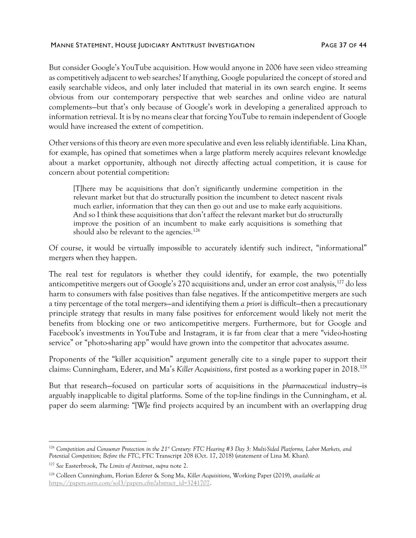But consider Google's YouTube acquisition. How would anyone in 2006 have seen video streaming as competitively adjacent to web searches? If anything, Google popularized the concept of stored and easily searchable videos, and only later included that material in its own search engine. It seems obvious from our contemporary perspective that web searches and online video are natural complements—but that's only because of Google's work in developing a generalized approach to information retrieval. It is by no means clear that forcing YouTube to remain independent of Google would have increased the extent of competition.

Other versions of this theory are even more speculative and even less reliably identifiable. Lina Khan, for example, has opined that sometimes when a large platform merely acquires relevant knowledge about a market opportunity, although not directly affecting actual competition, it is cause for concern about potential competition:

<span id="page-36-1"></span>[T]here may be acquisitions that don't significantly undermine competition in the relevant market but that do structurally position the incumbent to detect nascent rivals much earlier, information that they can then go out and use to make early acquisitions. And so I think these acquisitions that don't affect the relevant market but do structurally improve the position of an incumbent to make early acquisitions is something that should also be relevant to the agencies.<sup>126</sup>

Of course, it would be virtually impossible to accurately identify such indirect, "informational" mergers when they happen.

The real test for regulators is whether they could identify, for example, the two potentially anticompetitive mergers out of Google's 270 acquisitions and, under an error cost analysis,<sup>127</sup> do less harm to consumers with false positives than false negatives. If the anticompetitive mergers are such a tiny percentage of the total mergers—and identifying them *a priori* is difficult—then a precautionary principle strategy that results in many false positives for enforcement would likely not merit the benefits from blocking one or two anticompetitive mergers. Furthermore, but for Google and Facebook's investments in YouTube and Instagram, it is far from clear that a mere "video-hosting service" or "photo-sharing app" would have grown into the competitor that advocates assume.

<span id="page-36-0"></span>Proponents of the "killer acquisition" argument generally cite to a single paper to support their claims: Cunningham, Ederer, and Ma's *Killer Acquisitions*, first posted as a working paper in 2018. 128

But that research—focused on particular sorts of acquisitions in the *pharmaceutical* industry—is arguably inapplicable to digital platforms. Some of the top-line findings in the Cunningham, et al. paper do seem alarming: "[W]e find projects acquired by an incumbent with an overlapping drug

<sup>126</sup> *Competition and Consumer Protection in the 21st Century: FTC Hearing #3 Day 3: Multi-Sided Platforms, Labor Markets, and Potential Competition; Before the FTC*, FTC Transcript 208 (Oct. 17, 2018) (statement of Lina M. Khan).

<sup>127</sup> *See* Easterbrook, *The Limits of Antitrust*, *supra* note [2.](#page-1-0)

<sup>128</sup> Colleen Cunningham, Florian Ederer & Song Ma, *Killer Acquisitions*, Working Paper (2019), *available at* [https://papers.ssrn.com/sol3/papers.cfm?abstract\\_id=3241707.](https://papers.ssrn.com/sol3/papers.cfm?abstract_id=3241707)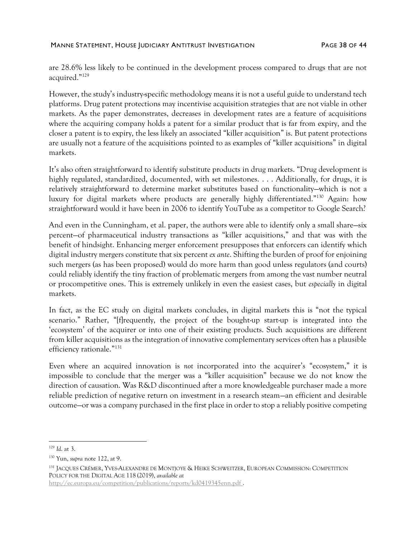#### MANNE STATEMENT, HOUSE JUDICIARY ANTITRUST INVESTIGATION FAGE 38 OF 44

are 28.6% less likely to be continued in the development process compared to drugs that are not acquired."<sup>129</sup>

However, the study's industry-specific methodology means it is not a useful guide to understand tech platforms. Drug patent protections may incentivise acquisition strategies that are not viable in other markets. As the paper demonstrates, decreases in development rates are a feature of acquisitions where the acquiring company holds a patent for a similar product that is far from expiry, and the closer a patent is to expiry, the less likely an associated "killer acquisition" is. But patent protections are usually not a feature of the acquisitions pointed to as examples of "killer acquisitions" in digital markets.

It's also often straightforward to identify substitute products in drug markets. "Drug development is highly regulated, standardized, documented, with set milestones. . . . Additionally, for drugs, it is relatively straightforward to determine market substitutes based on functionality—which is not a luxury for digital markets where products are generally highly differentiated." <sup>130</sup> Again: how straightforward would it have been in 2006 to identify YouTube as a competitor to Google Search?

And even in the Cunningham, et al. paper, the authors were able to identify only a small share—six percent—of pharmaceutical industry transactions as "killer acquisitions," and that was with the benefit of hindsight. Enhancing merger enforcement presupposes that enforcers can identify which digital industry mergers constitute that six percent *ex ante*. Shifting the burden of proof for enjoining such mergers (as has been proposed) would do more harm than good unless regulators (and courts) could reliably identify the tiny fraction of problematic mergers from among the vast number neutral or procompetitive ones. This is extremely unlikely in even the easiest cases, but *especially* in digital markets.

In fact, as the EC study on digital markets concludes, in digital markets this is "not the typical scenario." Rather, "[f]requently, the project of the bought-up start-up is integrated into the 'ecosystem' of the acquirer or into one of their existing products. Such acquisitions are different from killer acquisitions as the integration of innovative complementary services often has a plausible efficiency rationale." 131

Even where an acquired innovation is *not* incorporated into the acquirer's "ecosystem," it is impossible to conclude that the merger was a "killer acquisition" because we do not know the direction of causation. Was R&D discontinued after a more knowledgeable purchaser made a more reliable prediction of negative return on investment in a research steam—an efficient and desirable outcome—or was a company purchased in the first place in order to stop a reliably positive competing

<sup>129</sup> *Id*. at 3.

<sup>130</sup> Yun, *supra* not[e 122,](#page-35-0) at 9.

<sup>131</sup> JACQUES CRÉMER, YVES-ALEXANDRE DE MONTJOYE & HEIKE SCHWEITZER, EUROPEAN COMMISSION: COMPETITION POLICY FOR THE DIGITAL AGE 118 (2019), *available at*

<http://ec.europa.eu/competition/publications/reports/kd0419345enn.pdf> .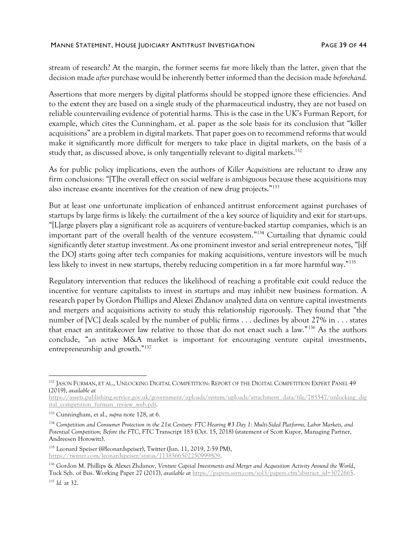stream of research? At the margin, the former seems far more likely than the latter, given that the decision made *after* purchase would be inherently better informed than the decision made *beforehand*.

Assertions that more mergers by digital platforms should be stopped ignore these efficiencies. And to the extent they are based on a single study of the pharmaceutical industry, they are not based on reliable countervailing evidence of potential harms. This is the case in the UK's Furman Report, for example, which cites the Cunningham, et al. paper as the sole basis for its conclusion that "killer acquisitions" are a problem in digital markets. That paper goes on to recommend reforms that would make it significantly more difficult for mergers to take place in digital markets, on the basis of a study that, as discussed above, is only tangentially relevant to digital markets.<sup>132</sup>

As for public policy implications, even the authors of *Killer Acquisitions* are reluctant to draw any firm conclusions: "[T]he overall effect on social welfare is ambiguous because these acquisitions may also increase ex-ante incentives for the creation of new drug projects."<sup>133</sup>

But at least one unfortunate implication of enhanced antitrust enforcement against purchases of startups by large firms is likely: the curtailment of the a key source of liquidity and exit for start-ups. "[L]arge players play a significant role as acquirers of venture-backed startup companies, which is an important part of the overall health of the venture ecosystem." <sup>134</sup> Curtailing that dynamic could significantly deter startup investment. As one prominent investor and serial entrepreneur notes, "[i]f the DOJ starts going after tech companies for making acquisitions, venture investors will be much less likely to invest in new startups, thereby reducing competition in a far more harmful way."<sup>135</sup>

Regulatory intervention that reduces the likelihood of reaching a profitable exit could reduce the incentive for venture capitalists to invest in startups and may inhibit new business formation. A research paper by Gordon Phillips and Alexei Zhdanov analyzed data on venture capital investments and mergers and acquisitions activity to study this relationship rigorously. They found that "the number of [VC] deals scaled by the number of public firms . . . declines by about 27% in . . . states that enact an antitakeover law relative to those that do not enact such a law."<sup>136</sup> As the authors conclude, "an active M&A market is important for encouraging venture capital investments, entrepreneurship and growth." 137

[https://assets.publishing.service.gov.uk/government/uploads/system/uploads/attachment\\_data/file/785547/unlocking\\_dig](https://assets.publishing.service.gov.uk/government/uploads/system/uploads/attachment_data/file/785547/unlocking_digital_competition_furman_review_web.pdf) [ital\\_competition\\_furman\\_review\\_web.pdf.](https://assets.publishing.service.gov.uk/government/uploads/system/uploads/attachment_data/file/785547/unlocking_digital_competition_furman_review_web.pdf)

<sup>135</sup> Leonard Speiser (@leonardspeiser), Twitter (Jun. 11, 2019, 2:59 PM), [https://twitter.com/leonardspeiser/status/1138566502250999809.](https://twitter.com/leonardspeiser/status/1138566502250999809)

<sup>132</sup> JASON FURMAN, ET AL., UNLOCKING DIGITAL COMPETITION: REPORT OF THE DIGITAL COMPETITION EXPERT PANEL 49 (2019), *available at*

<sup>133</sup> Cunningham, et al., *supra* not[e 128,](#page-36-0) at 6.

<sup>134</sup> *Competition and Consumer Protection in the 21st Century: FTC Hearing #3 Day 1: Multi-Sided Platforms, Labor Markets, and Potential Competition; Before the FTC*, FTC Transcript 183 (Oct. 15, 2018) (statement of Scott Kupor, Managing Partner, Andreesen Horowitz).

<sup>136</sup> Gordon M. Phillips & Alexei Zhdanov, *Venture Capital Investments and Merger and Acquisition Activity Around the World*, Tuck Sch. of Bus. Working Paper 27 (2017), *available at* [https://papers.ssrn.com/sol3/papers.cfm?abstract\\_id=3072665.](https://papers.ssrn.com/sol3/papers.cfm?abstract_id=3072665) <sup>137</sup> *Id.* at 32.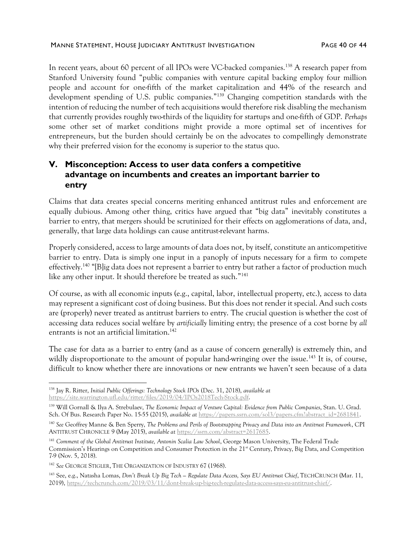In recent years, about 60 percent of all IPOs were VC-backed companies.<sup>138</sup> A research paper from Stanford University found "public companies with venture capital backing employ four million people and account for one-fifth of the market capitalization and 44% of the research and development spending of U.S. public companies."<sup>139</sup> Changing competition standards with the intention of reducing the number of tech acquisitions would therefore risk disabling the mechanism that currently provides roughly two-thirds of the liquidity for startups and one-fifth of GDP. *Perhaps* some other set of market conditions might provide a more optimal set of incentives for entrepreneurs, but the burden should certainly be on the advocates to compellingly demonstrate why their preferred vision for the economy is superior to the status quo.

# **V. Misconception: Access to user data confers a competitive advantage on incumbents and creates an important barrier to entry**

Claims that data creates special concerns meriting enhanced antitrust rules and enforcement are equally dubious. Among other thing, critics have argued that "big data" inevitably constitutes a barrier to entry, that mergers should be scrutinized for their effects on agglomerations of data, and, generally, that large data holdings can cause antitrust-relevant harms.

Properly considered, access to large amounts of data does not, by itself, constitute an anticompetitive barrier to entry. Data is simply one input in a panoply of inputs necessary for a firm to compete effectively.<sup>140</sup> "[B]ig data does not represent a barrier to entry but rather a factor of production much like any other input. It should therefore be treated as such."<sup>141</sup>

Of course, as with all economic inputs (e.g., capital, labor, intellectual property, etc.), access to data may represent a significant cost of doing business. But this does not render it special. And such costs are (properly) never treated as antitrust barriers to entry. The crucial question is whether the cost of accessing data reduces social welfare by *artificially* limiting entry; the presence of a cost borne by *all* entrants is not an artificial limitation. 142

The case for data as a barrier to entry (and as a cause of concern generally) is extremely thin, and wildly disproportionate to the amount of popular hand-wringing over the issue.<sup>143</sup> It is, of course, difficult to know whether there are innovations or new entrants we haven't seen because of a data

<sup>138</sup> Jay R. Ritter, *Initial Public Offerings: Technology Stock IPOs* (Dec. 31, 2018), *available at*  [https://site.warrington.ufl.edu/ritter/files/2019/04/IPOs2018Tech-Stock.pdf.](https://site.warrington.ufl.edu/ritter/files/2019/04/IPOs2018Tech-Stock.pdf)

<sup>139</sup> Will Gornall & Ilya A. Strebulaev, *The Economic Impact of Venture Capital: Evidence from Public Companies*, Stan. U. Grad. Sch. Of Bus. Research Paper No. 15-55 (2015), *available at* [https://papers.ssrn.com/sol3/papers.cfm?abstract\\_id=2681841.](https://papers.ssrn.com/sol3/papers.cfm?abstract_id=2681841)

<sup>140</sup> *See* Geoffrey Manne & Ben Sperry, *The Problems and Perils of Bootstrapping Privacy and Data into an Antitrust Framework*, CPI ANTITRUST CHRONICLE 9 (May 2015), *available at* [https://ssrn.com/abstract=2617685.](https://ssrn.com/abstract=2617685) 

<sup>&</sup>lt;sup>141</sup> Comment of the Global Antitrust Institute, Antonin Scalia Law School, George Mason University, The Federal Trade Commission's Hearings on Competition and Consumer Protection in the 21<sup>st</sup> Century, Privacy, Big Data, and Competition 7-9 (Nov. 5, 2018).

<sup>142</sup> *See* GEORGE STIGLER, THE ORGANIZATION OF INDUSTRY 67 (1968).

<sup>143</sup> See, e.g., Natasha Lomas, *Don't Break Up Big Tech — Regulate Data Access, Says EU Antitrust Chief*, TECHCRUNCH (Mar. 11, 2019)[, https://techcrunch.com/2019/03/11/dont-break-up-big-tech-regulate-data-access-says-eu-antitrust-chief/.](https://techcrunch.com/2019/03/11/dont-break-up-big-tech-regulate-data-access-says-eu-antitrust-chief/)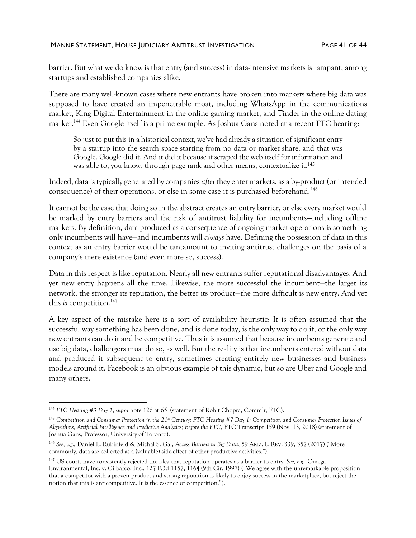barrier. But what we do know is that entry (and success) in data-intensive markets is rampant, among startups and established companies alike.

There are many well-known cases where new entrants have broken into markets where big data was supposed to have created an impenetrable moat, including WhatsApp in the communications market, King Digital Entertainment in the online gaming market, and Tinder in the online dating market.<sup>144</sup> Even Google itself is a prime example. As Joshua Gans noted at a recent FTC hearing:

So just to put this in a historical context, we've had already a situation of significant entry by a startup into the search space starting from no data or market share, and that was Google. Google did it. And it did it because it scraped the web itself for information and was able to, you know, through page rank and other means, contextualize it.<sup>145</sup>

Indeed, data is typically generated by companies *after* they enter markets, as a by-product (or intended consequence) of their operations, or else in some case it is purchased beforehand.<sup>146</sup>

It cannot be the case that doing so in the abstract creates an entry barrier, or else every market would be marked by entry barriers and the risk of antitrust liability for incumbents—including offline markets. By definition, data produced as a consequence of ongoing market operations is something only incumbents will have—and incumbents will *always* have. Defining the possession of data in this context as an entry barrier would be tantamount to inviting antitrust challenges on the basis of a company's mere existence (and even more so, success).

Data in this respect is like reputation. Nearly all new entrants suffer reputational disadvantages. And yet new entry happens all the time. Likewise, the more successful the incumbent—the larger its network, the stronger its reputation, the better its product—the more difficult is new entry. And yet this *is* competition.<sup>147</sup>

A key aspect of the mistake here is a sort of availability heuristic: It is often assumed that the successful way something has been done, and is done today, is the only way to do it, or the only way new entrants can do it and be competitive. Thus it is assumed that because incumbents generate and use big data, challengers must do so, as well. But the reality is that incumbents entered without data and produced it subsequent to entry, sometimes creating entirely new businesses and business models around it. Facebook is an obvious example of this dynamic, but so are Uber and Google and many others.

<sup>144</sup> *FTC Hearing #3 Day 1*, *supra* note [126](#page-36-1) at 65 (statement of Rohit Chopra, Comm'r, FTC).

<sup>&</sup>lt;sup>145</sup> Competition and Consumer Protection in the 21<sup>st</sup> Century: FTC Hearing #7 Day 1: Competition and Consumer Protection Issues of *Algorithms, Artificial Intelligence and Predictive Analytics; Before the FTC*, FTC Transcript 159 (Nov. 13, 2018) (statement of Joshua Gans, Professor, University of Toronto).

<sup>146</sup> *See, e.g.,* Daniel L. Rubinfeld & Michal S. Gal, *Access Barriers to Big Data*, 59 ARIZ. L. REV. 339, 357 (2017) ("More commonly, data are collected as a (valuable) side-effect of other productive activities.").

<sup>147</sup> US courts have consistently rejected the idea that reputation operates as a barrier to entry. *See, e.g.,* Omega Environmental, Inc. v. Gilbarco, Inc., 127 F.3d 1157, 1164 (9th Cir. 1997) ("We agree with the unremarkable proposition that a competitor with a proven product and strong reputation is likely to enjoy success in the marketplace, but reject the notion that this is anticompetitive. It is the essence of competition.").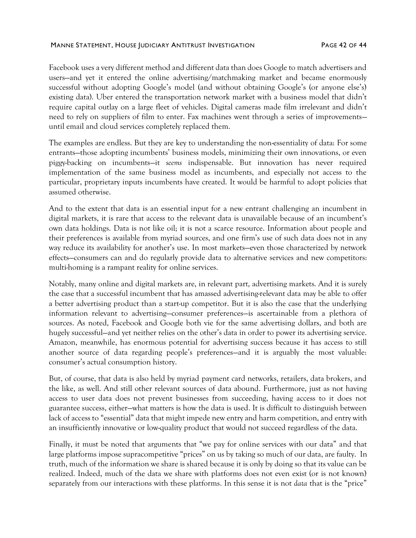#### MANNE STATEMENT, HOUSE JUDICIARY ANTITRUST INVESTIGATION FAGE 42 OF 44

Facebook uses a very different method and different data than does Google to match advertisers and users—and yet it entered the online advertising/matchmaking market and became enormously successful without adopting Google's model (and without obtaining Google's (or anyone else's) existing data). Uber entered the transportation network market with a business model that didn't require capital outlay on a large fleet of vehicles. Digital cameras made film irrelevant and didn't need to rely on suppliers of film to enter. Fax machines went through a series of improvements until email and cloud services completely replaced them.

The examples are endless. But they are key to understanding the non-essentiality of data: For some entrants—those adopting incumbents' business models, minimizing their own innovations, or even piggy-backing on incumbents—it *seems* indispensable. But innovation has never required implementation of the same business model as incumbents, and especially not access to the particular, proprietary inputs incumbents have created. It would be harmful to adopt policies that assumed otherwise.

And to the extent that data is an essential input for a new entrant challenging an incumbent in digital markets, it is rare that access to the relevant data is unavailable because of an incumbent's own data holdings. Data is not like oil; it is not a scarce resource. Information about people and their preferences is available from myriad sources, and one firm's use of such data does not in any way reduce its availability for another's use. In most markets—even those characterized by network effects—consumers can and do regularly provide data to alternative services and new competitors: multi-homing is a rampant reality for online services.

Notably, many online and digital markets are, in relevant part, advertising markets. And it is surely the case that a successful incumbent that has amassed advertising-relevant data may be able to offer a better advertising product than a start-up competitor. But it is also the case that the underlying information relevant to advertising—consumer preferences—is ascertainable from a plethora of sources. As noted, Facebook and Google both vie for the same advertising dollars, and both are hugely successful—and yet neither relies on the other's data in order to power its advertising service. Amazon, meanwhile, has enormous potential for advertising success because it has access to still another source of data regarding people's preferences—and it is arguably the most valuable: consumer's actual consumption history.

But, of course, that data is also held by myriad payment card networks, retailers, data brokers, and the like, as well. And still other relevant sources of data abound. Furthermore, just as not having access to user data does not prevent businesses from succeeding, having access to it does not guarantee success, either—what matters is how the data is used. It is difficult to distinguish between lack of access to "essential" data that might impede new entry and harm competition, and entry with an insufficiently innovative or low-quality product that would not succeed regardless of the data.

Finally, it must be noted that arguments that "we pay for online services with our data" and that large platforms impose supracompetitive "prices" on us by taking so much of our data, are faulty. In truth, much of the information we share is shared because it is only by doing so that its value can be realized. Indeed, much of the data we share with platforms does not even exist (or is not known) separately from our interactions with these platforms. In this sense it is not *data* that is the "price"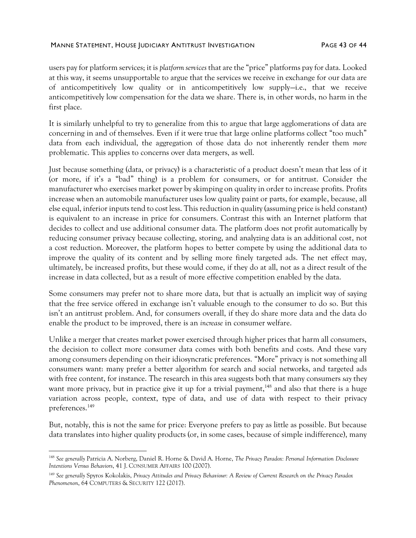users pay for platform services; it is *platform services* that are the "price" platforms pay for data. Looked at this way, it seems unsupportable to argue that the services we receive in exchange for our data are of anticompetitively low quality or in anticompetitively low supply—i.e., that we receive anticompetitively low compensation for the data we share. There is, in other words, no harm in the first place.

It is similarly unhelpful to try to generalize from this to argue that large agglomerations of data are concerning in and of themselves. Even if it were true that large online platforms collect "too much" data from each individual, the aggregation of those data do not inherently render them *more*  problematic. This applies to concerns over data mergers, as well.

Just because something (data, or privacy) is a characteristic of a product doesn't mean that less of it (or more, if it's a "bad" thing) is a problem for consumers, or for antitrust. Consider the manufacturer who exercises market power by skimping on quality in order to increase profits. Profits increase when an automobile manufacturer uses low quality paint or parts, for example, because, all else equal, inferior inputs tend to cost less. This reduction in quality (assuming price is held constant) is equivalent to an increase in price for consumers. Contrast this with an Internet platform that decides to collect and use additional consumer data. The platform does not profit automatically by reducing consumer privacy because collecting, storing, and analyzing data is an additional cost, not a cost reduction. Moreover, the platform hopes to better compete by using the additional data to improve the quality of its content and by selling more finely targeted ads. The net effect may, ultimately, be increased profits, but these would come, if they do at all, not as a direct result of the increase in data collected, but as a result of more effective competition enabled by the data.

Some consumers may prefer not to share more data, but that is actually an implicit way of saying that the free service offered in exchange isn't valuable enough to the consumer to do so. But this isn't an antitrust problem. And, for consumers overall, if they do share more data and the data do enable the product to be improved, there is an *increase* in consumer welfare.

Unlike a merger that creates market power exercised through higher prices that harm all consumers, the decision to collect more consumer data comes with both benefits and costs. And these vary among consumers depending on their idiosyncratic preferences. "More" privacy is not something all consumers want: many prefer a better algorithm for search and social networks, and targeted ads with free content, for instance. The research in this area suggests both that many consumers *say* they want more privacy, but in practice give it up for a trivial payment,<sup>148</sup> and also that there is a huge variation across people, context, type of data, and use of data with respect to their privacy preferences.<sup>149</sup>

But, notably, this is not the same for price: Everyone prefers to pay as little as possible. But because data translates into higher quality products (or, in some cases, because of simple indifference), many

<sup>148</sup> *See generally* Patricia A. Norberg, Daniel R. Horne & David A. Horne, *The Privacy Paradox: Personal Information Disclosure Intentions Versus Behaviors*, 41 J. CONSUMER AFFAIRS 100 (2007).

<sup>149</sup> *See generally* Spyros Kokolakis, *Privacy Attitudes and Privacy Behaviour: A Review of Current Research on the Privacy Paradox Phenomenon*, 64 COMPUTERS & SECURITY 122 (2017).